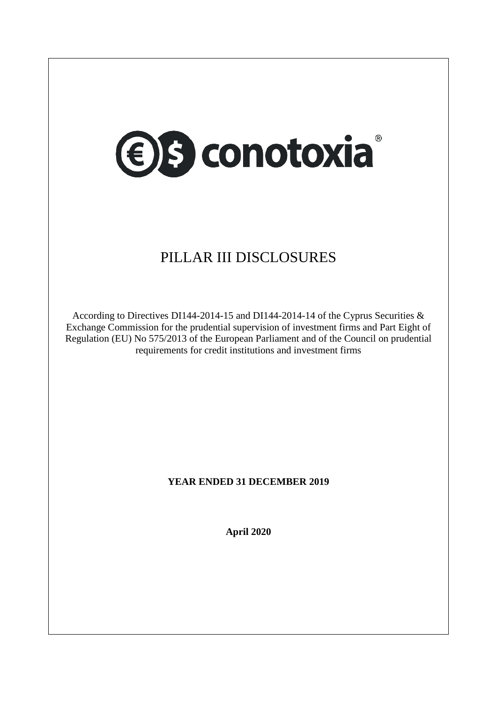

## PILLAR III DISCLOSURES

According to Directives DI144-2014-15 and DI144-2014-14 of the Cyprus Securities & Exchange Commission for the prudential supervision of investment firms and Part Eight of Regulation (EU) No 575/2013 of the European Parliament and of the Council on prudential requirements for credit institutions and investment firms

## **YEAR ENDED 31 DECEMBER 2019**

**April 2020**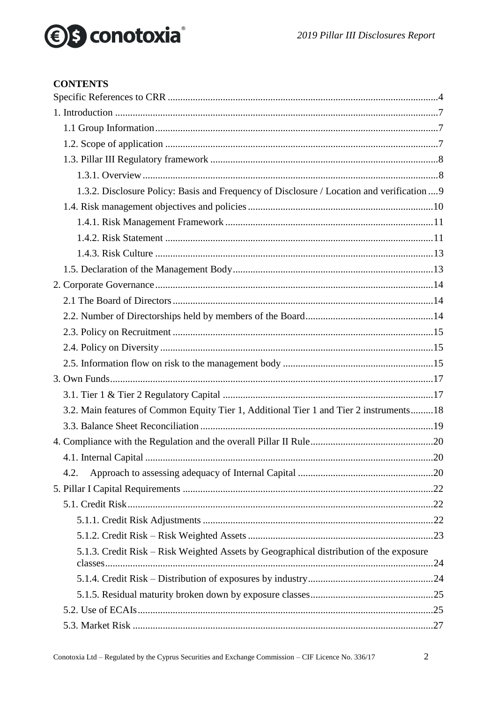## *<u>●</u>S* conotoxia®

### **CONTENTS**

| 1.3.2. Disclosure Policy: Basis and Frequency of Disclosure / Location and verification  9 |  |
|--------------------------------------------------------------------------------------------|--|
|                                                                                            |  |
|                                                                                            |  |
|                                                                                            |  |
|                                                                                            |  |
|                                                                                            |  |
|                                                                                            |  |
|                                                                                            |  |
|                                                                                            |  |
|                                                                                            |  |
|                                                                                            |  |
|                                                                                            |  |
|                                                                                            |  |
|                                                                                            |  |
| 3.2. Main features of Common Equity Tier 1, Additional Tier 1 and Tier 2 instruments 18    |  |
|                                                                                            |  |
|                                                                                            |  |
|                                                                                            |  |
| 4.2.                                                                                       |  |
|                                                                                            |  |
|                                                                                            |  |
|                                                                                            |  |
|                                                                                            |  |
| 5.1.3. Credit Risk – Risk Weighted Assets by Geographical distribution of the exposure     |  |
|                                                                                            |  |
|                                                                                            |  |
|                                                                                            |  |
|                                                                                            |  |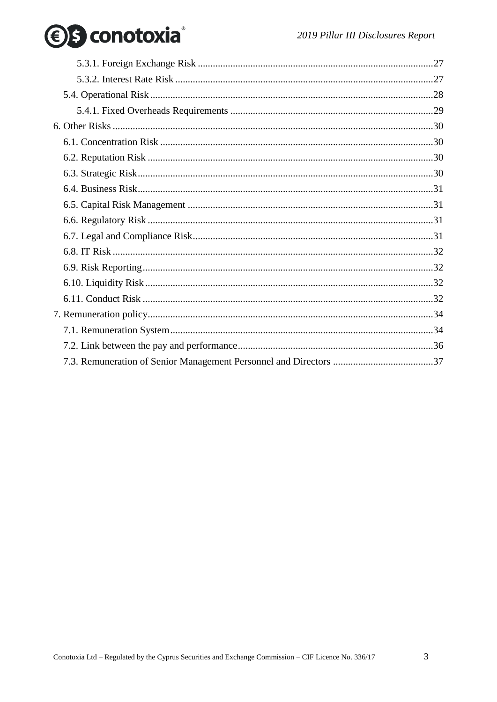# *<u>●</u>S* conotoxia®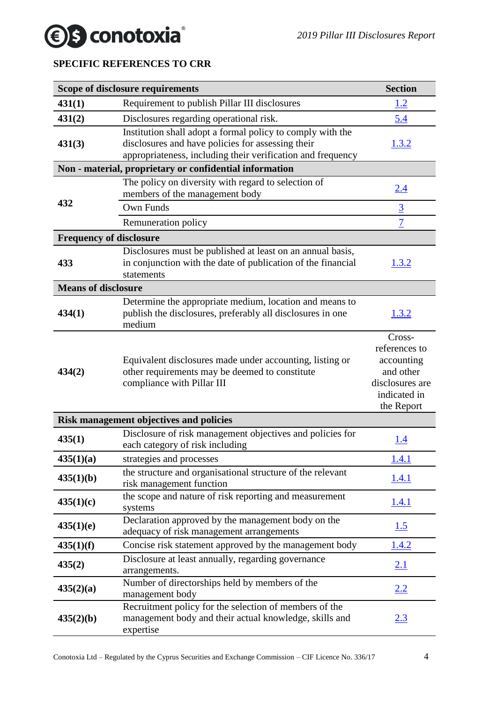## *<u>●</u>S* conotoxia

## <span id="page-3-0"></span>**SPECIFIC REFERENCES TO CRR**

|                                | Scope of disclosure requirements                                                                                                                                               | <b>Section</b>                                                                                      |
|--------------------------------|--------------------------------------------------------------------------------------------------------------------------------------------------------------------------------|-----------------------------------------------------------------------------------------------------|
| 431(1)                         | Requirement to publish Pillar III disclosures                                                                                                                                  | <u>1.2</u>                                                                                          |
| 431(2)                         | Disclosures regarding operational risk.                                                                                                                                        | 5.4                                                                                                 |
| 431(3)                         | Institution shall adopt a formal policy to comply with the<br>disclosures and have policies for assessing their<br>appropriateness, including their verification and frequency | 1.3.2                                                                                               |
|                                | Non - material, proprietary or confidential information                                                                                                                        |                                                                                                     |
| 432                            | The policy on diversity with regard to selection of<br>members of the management body<br>Own Funds                                                                             | 2.4<br>$\overline{3}$                                                                               |
|                                | Remuneration policy                                                                                                                                                            | $\overline{1}$                                                                                      |
| <b>Frequency of disclosure</b> |                                                                                                                                                                                |                                                                                                     |
| 433                            | Disclosures must be published at least on an annual basis,<br>in conjunction with the date of publication of the financial<br>statements                                       | 1.3.2                                                                                               |
| <b>Means of disclosure</b>     |                                                                                                                                                                                |                                                                                                     |
| 434(1)                         | Determine the appropriate medium, location and means to<br>publish the disclosures, preferably all disclosures in one<br>medium                                                | 1.3.2                                                                                               |
| 434(2)                         | Equivalent disclosures made under accounting, listing or<br>other requirements may be deemed to constitute<br>compliance with Pillar III                                       | Cross-<br>references to<br>accounting<br>and other<br>disclosures are<br>indicated in<br>the Report |
|                                | Risk management objectives and policies                                                                                                                                        |                                                                                                     |
| 435(1)                         | Disclosure of risk management objectives and policies for<br>each category of risk including                                                                                   | <u>1.4</u>                                                                                          |
| 435(1)(a)                      | strategies and processes                                                                                                                                                       | 1.4.1                                                                                               |
| 435(1)(b)                      | the structure and organisational structure of the relevant<br>risk management function                                                                                         | <u>1.4.1</u>                                                                                        |
| 435(1)(c)                      | the scope and nature of risk reporting and measurement<br>systems                                                                                                              | 1.4.1                                                                                               |
| 435(1)(e)                      | Declaration approved by the management body on the<br>adequacy of risk management arrangements                                                                                 | 1.5                                                                                                 |
| 435(1)(f)                      | Concise risk statement approved by the management body                                                                                                                         | 1.4.2                                                                                               |
| 435(2)                         | Disclosure at least annually, regarding governance<br>arrangements.                                                                                                            | 2.1                                                                                                 |
| 435(2)(a)                      | Number of directorships held by members of the<br>management body                                                                                                              | 2.2                                                                                                 |
| 435(2)(b)                      | Recruitment policy for the selection of members of the<br>management body and their actual knowledge, skills and<br>expertise                                                  | 2.3                                                                                                 |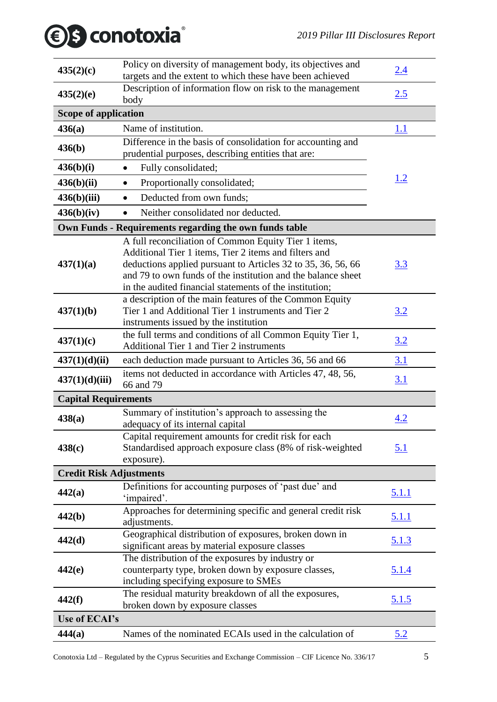## *2019 Pillar III Disclosures Report*

|  | <b><i><b>€</b>S</i></b> conotoxia |
|--|-----------------------------------|
|--|-----------------------------------|

| 435(2)(c)                      | Policy on diversity of management body, its objectives and<br>targets and the extent to which these have been achieved       | 2.4          |  |  |
|--------------------------------|------------------------------------------------------------------------------------------------------------------------------|--------------|--|--|
|                                | Description of information flow on risk to the management                                                                    |              |  |  |
| 435(2)(e)<br>body              |                                                                                                                              | 2.5          |  |  |
| <b>Scope of application</b>    |                                                                                                                              |              |  |  |
| 436(a)                         | Name of institution.                                                                                                         | <u>1.1</u>   |  |  |
| 436(b)                         | Difference in the basis of consolidation for accounting and                                                                  |              |  |  |
|                                | prudential purposes, describing entities that are:                                                                           |              |  |  |
| 436(b)(i)                      | Fully consolidated;<br>$\bullet$                                                                                             |              |  |  |
| 436(b)(ii)                     | Proportionally consolidated;<br>$\bullet$                                                                                    | <u>1.2</u>   |  |  |
| 436(b)(iii)                    | Deducted from own funds;<br>$\bullet$                                                                                        |              |  |  |
| 436(b)(iv)                     | Neither consolidated nor deducted.                                                                                           |              |  |  |
|                                | Own Funds - Requirements regarding the own funds table                                                                       |              |  |  |
|                                | A full reconciliation of Common Equity Tier 1 items,                                                                         |              |  |  |
|                                | Additional Tier 1 items, Tier 2 items and filters and                                                                        |              |  |  |
| 437(1)(a)                      | deductions applied pursuant to Articles 32 to 35, 36, 56, 66<br>and 79 to own funds of the institution and the balance sheet | <u>3.3</u>   |  |  |
|                                | in the audited financial statements of the institution;                                                                      |              |  |  |
|                                | a description of the main features of the Common Equity                                                                      |              |  |  |
| 437(1)(b)                      | Tier 1 and Additional Tier 1 instruments and Tier 2                                                                          | 3.2          |  |  |
|                                | instruments issued by the institution                                                                                        |              |  |  |
| 437(1)(c)                      | the full terms and conditions of all Common Equity Tier 1,                                                                   | 3.2          |  |  |
|                                | Additional Tier 1 and Tier 2 instruments                                                                                     |              |  |  |
| 437(1)(d)(ii)                  | each deduction made pursuant to Articles 36, 56 and 66                                                                       | 3.1          |  |  |
| 437(1)(d)(iii)                 | items not deducted in accordance with Articles 47, 48, 56,<br>66 and 79                                                      | 3.1          |  |  |
| <b>Capital Requirements</b>    |                                                                                                                              |              |  |  |
|                                | Summary of institution's approach to assessing the                                                                           |              |  |  |
| 438(a)                         | adequacy of its internal capital                                                                                             | 4.2          |  |  |
|                                | Capital requirement amounts for credit risk for each                                                                         |              |  |  |
| 438(c)                         | Standardised approach exposure class (8% of risk-weighted                                                                    | <u>5.1</u>   |  |  |
|                                | exposure).                                                                                                                   |              |  |  |
| <b>Credit Risk Adjustments</b> |                                                                                                                              |              |  |  |
| 442(a)                         | Definitions for accounting purposes of 'past due' and<br>'impaired'.                                                         | <u>5.1.1</u> |  |  |
|                                | Approaches for determining specific and general credit risk                                                                  |              |  |  |
| 442(b)                         | adjustments.                                                                                                                 | <u>5.1.1</u> |  |  |
| 442(d)                         | Geographical distribution of exposures, broken down in                                                                       | <u>5.1.3</u> |  |  |
|                                | significant areas by material exposure classes                                                                               |              |  |  |
| 442(e)                         | The distribution of the exposures by industry or<br>counterparty type, broken down by exposure classes,                      | <u>5.1.4</u> |  |  |
|                                | including specifying exposure to SMEs                                                                                        |              |  |  |
|                                | The residual maturity breakdown of all the exposures,                                                                        |              |  |  |
| 442(f)                         | broken down by exposure classes                                                                                              | 5.1.5        |  |  |
| Use of ECAI's                  |                                                                                                                              |              |  |  |
| 444(a)                         | Names of the nominated ECAIs used in the calculation of                                                                      | <u>5.2</u>   |  |  |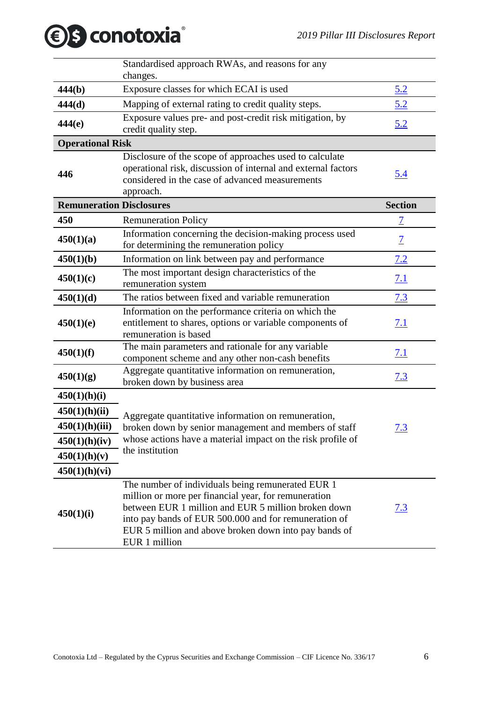|                                 | Standardised approach RWAs, and reasons for any<br>changes.                                                                                                                                                                                                                                         |                          |
|---------------------------------|-----------------------------------------------------------------------------------------------------------------------------------------------------------------------------------------------------------------------------------------------------------------------------------------------------|--------------------------|
| 444(b)                          | Exposure classes for which ECAI is used                                                                                                                                                                                                                                                             | <u>5.2</u>               |
| 444(d)                          | Mapping of external rating to credit quality steps.                                                                                                                                                                                                                                                 | 5.2                      |
| 444(e)                          | Exposure values pre- and post-credit risk mitigation, by<br>credit quality step.                                                                                                                                                                                                                    | <u>5.2</u>               |
| <b>Operational Risk</b>         |                                                                                                                                                                                                                                                                                                     |                          |
| 446                             | Disclosure of the scope of approaches used to calculate<br>operational risk, discussion of internal and external factors<br>considered in the case of advanced measurements<br>approach.                                                                                                            | <u>5.4</u>               |
| <b>Remuneration Disclosures</b> |                                                                                                                                                                                                                                                                                                     | <b>Section</b>           |
| 450                             | <b>Remuneration Policy</b>                                                                                                                                                                                                                                                                          | $\overline{\mathcal{I}}$ |
| 450(1)(a)                       | Information concerning the decision-making process used<br>for determining the remuneration policy                                                                                                                                                                                                  | $\overline{1}$           |
| 450(1)(b)                       | Information on link between pay and performance                                                                                                                                                                                                                                                     | 7.2                      |
| 450(1)(c)                       | The most important design characteristics of the<br>remuneration system                                                                                                                                                                                                                             | 7.1                      |
| 450(1)(d)                       | The ratios between fixed and variable remuneration                                                                                                                                                                                                                                                  | 7.3                      |
| 450(1)(e)                       | Information on the performance criteria on which the<br>entitlement to shares, options or variable components of<br>remuneration is based                                                                                                                                                           | 7.1                      |
| 450(1)(f)                       | The main parameters and rationale for any variable<br>component scheme and any other non-cash benefits                                                                                                                                                                                              | <u>7.1</u>               |
| 450(1)(g)                       | Aggregate quantitative information on remuneration,<br>broken down by business area                                                                                                                                                                                                                 | 7.3                      |
| 450(1)(h)(i)                    |                                                                                                                                                                                                                                                                                                     |                          |
| 450(1)(h)(ii)                   | Aggregate quantitative information on remuneration,                                                                                                                                                                                                                                                 |                          |
| 450(1)(h)(iii)                  | broken down by senior management and members of staff                                                                                                                                                                                                                                               | <u>7.3</u>               |
| 450(1)(h)(iv)                   | whose actions have a material impact on the risk profile of                                                                                                                                                                                                                                         |                          |
| 450(1)(h)(v)                    | the institution                                                                                                                                                                                                                                                                                     |                          |
| 450(1)(h)(vi)                   |                                                                                                                                                                                                                                                                                                     |                          |
| 450(1)(i)                       | The number of individuals being remunerated EUR 1<br>million or more per financial year, for remuneration<br>between EUR 1 million and EUR 5 million broken down<br>into pay bands of EUR 500.000 and for remuneration of<br>EUR 5 million and above broken down into pay bands of<br>EUR 1 million | <u>7.3</u>               |

*S* conotoxia®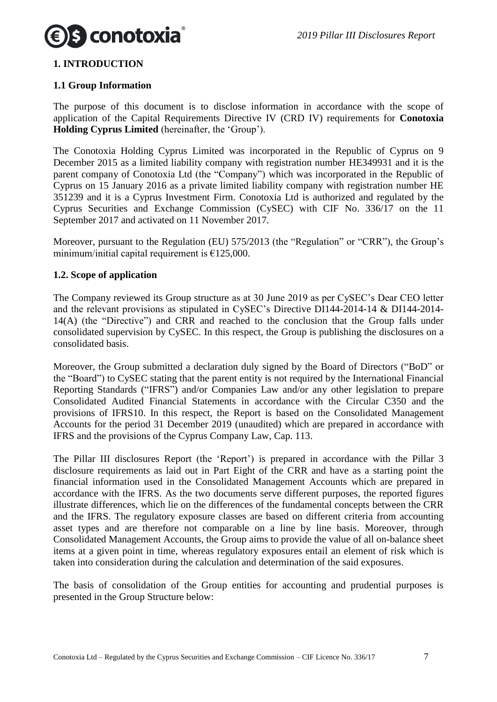

#### <span id="page-6-0"></span>**1. INTRODUCTION**

#### <span id="page-6-1"></span>**1.1 Group Information**

The purpose of this document is to disclose information in accordance with the scope of application of the Capital Requirements Directive IV (CRD IV) requirements for **Conotoxia Holding Cyprus Limited** (hereinafter, the 'Group').

The Conotoxia Holding Cyprus Limited was incorporated in the Republic of Cyprus on 9 December 2015 as a limited liability company with registration number HE349931 and it is the parent company of Conotoxia Ltd (the "Company") which was incorporated in the Republic of Cyprus on 15 January 2016 as a private limited liability company with registration number HE 351239 and it is a Cyprus Investment Firm. Conotoxia Ltd is authorized and regulated by the Cyprus Securities and Exchange Commission (CySEC) with CIF No. 336/17 on the 11 September 2017 and activated on 11 November 2017.

Moreover, pursuant to the Regulation (EU) 575/2013 (the "Regulation" or "CRR"), the Group's minimum/initial capital requirement is  $£125,000$ .

#### <span id="page-6-2"></span>**1.2. Scope of application**

The Company reviewed its Group structure as at 30 June 2019 as per CySEC's Dear CEO letter and the relevant provisions as stipulated in CySEC's Directive DI144-2014-14 & DI144-2014- 14(A) (the "Directive") and CRR and reached to the conclusion that the Group falls under consolidated supervision by CySEC. In this respect, the Group is publishing the disclosures on a consolidated basis.

Moreover, the Group submitted a declaration duly signed by the Board of Directors ("BoD" or the "Board") to CySEC stating that the parent entity is not required by the International Financial Reporting Standards ("IFRS") and/or Companies Law and/or any other legislation to prepare Consolidated Audited Financial Statements in accordance with the Circular C350 and the provisions of IFRS10. In this respect, the Report is based on the Consolidated Management Accounts for the period 31 December 2019 (unaudited) which are prepared in accordance with IFRS and the provisions of the Cyprus Company Law, Cap. 113.

The Pillar III disclosures Report (the 'Report') is prepared in accordance with the Pillar 3 disclosure requirements as laid out in Part Eight of the CRR and have as a starting point the financial information used in the Consolidated Management Accounts which are prepared in accordance with the IFRS. As the two documents serve different purposes, the reported figures illustrate differences, which lie on the differences of the fundamental concepts between the CRR and the IFRS. The regulatory exposure classes are based on different criteria from accounting asset types and are therefore not comparable on a line by line basis. Moreover, through Consolidated Management Accounts, the Group aims to provide the value of all on-balance sheet items at a given point in time, whereas regulatory exposures entail an element of risk which is taken into consideration during the calculation and determination of the said exposures.

The basis of consolidation of the Group entities for accounting and prudential purposes is presented in the Group Structure below: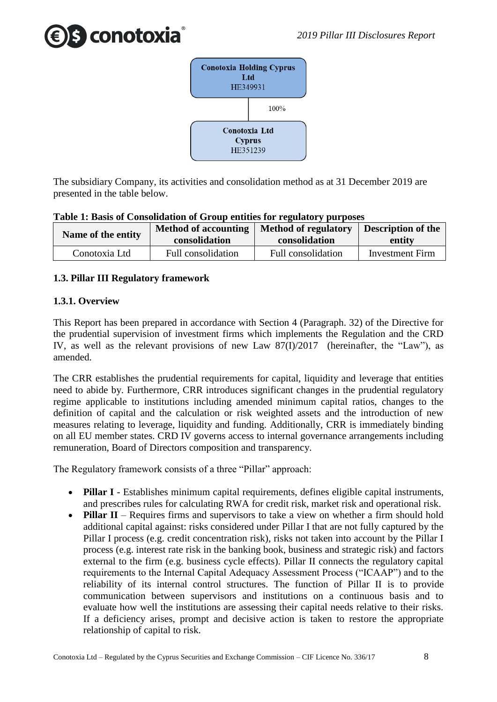



The subsidiary Company, its activities and consolidation method as at 31 December 2019 are presented in the table below.

| Table 1. Dasis of Consolidation of Group entities for regulatory purposes |                                              |                                       |                                     |  |
|---------------------------------------------------------------------------|----------------------------------------------|---------------------------------------|-------------------------------------|--|
| Name of the entity                                                        | <b>Method of accounting</b><br>consolidation | Method of regulatory<br>consolidation | <b>Description of the</b><br>entity |  |
| Conotoxia Ltd                                                             | Full consolidation                           | Full consolidation                    | <b>Investment Firm</b>              |  |

#### **Table 1: Basis of Consolidation of Group entities for regulatory purposes**

#### <span id="page-7-0"></span>**1.3. Pillar III Regulatory framework**

#### <span id="page-7-1"></span>**1.3.1. Overview**

This Report has been prepared in accordance with Section 4 (Paragraph. 32) of the Directive for the prudential supervision of investment firms which implements the Regulation and the CRD IV, as well as the relevant provisions of new Law 87(I)/2017 (hereinafter, the "Law"), as amended.

The CRR establishes the prudential requirements for capital, liquidity and leverage that entities need to abide by. Furthermore, CRR introduces significant changes in the prudential regulatory regime applicable to institutions including amended minimum capital ratios, changes to the definition of capital and the calculation or risk weighted assets and the introduction of new measures relating to leverage, liquidity and funding. Additionally, CRR is immediately binding on all EU member states. CRD IV governs access to internal governance arrangements including remuneration, Board of Directors composition and transparency.

The Regulatory framework consists of a three "Pillar" approach:

- **Pillar I** Establishes minimum capital requirements, defines eligible capital instruments, and prescribes rules for calculating RWA for credit risk, market risk and operational risk.
- **Pillar II** Requires firms and supervisors to take a view on whether a firm should hold additional capital against: risks considered under Pillar I that are not fully captured by the Pillar I process (e.g. credit concentration risk), risks not taken into account by the Pillar I process (e.g. interest rate risk in the banking book, business and strategic risk) and factors external to the firm (e.g. business cycle effects). Pillar II connects the regulatory capital requirements to the Internal Capital Adequacy Assessment Process ("ICAAP") and to the reliability of its internal control structures. The function of Pillar II is to provide communication between supervisors and institutions on a continuous basis and to evaluate how well the institutions are assessing their capital needs relative to their risks. If a deficiency arises, prompt and decisive action is taken to restore the appropriate relationship of capital to risk.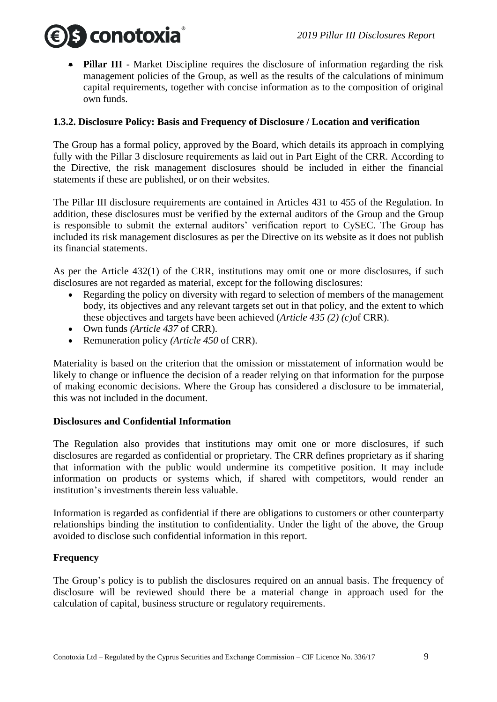

 **Pillar III** - Market Discipline requires the disclosure of information regarding the risk management policies of the Group, as well as the results of the calculations of minimum capital requirements, together with concise information as to the composition of original own funds.

#### <span id="page-8-0"></span>**1.3.2. Disclosure Policy: Basis and Frequency of Disclosure / Location and verification**

The Group has a formal policy, approved by the Board, which details its approach in complying fully with the Pillar 3 disclosure requirements as laid out in Part Eight of the CRR. According to the Directive, the risk management disclosures should be included in either the financial statements if these are published, or on their websites.

The Pillar III disclosure requirements are contained in Articles 431 to 455 of the Regulation. In addition, these disclosures must be verified by the external auditors of the Group and the Group is responsible to submit the external auditors' verification report to CySEC. The Group has included its risk management disclosures as per the Directive on its website as it does not publish its financial statements.

As per the Article 432(1) of the CRR, institutions may omit one or more disclosures, if such disclosures are not regarded as material, except for the following disclosures:

- Regarding the policy on diversity with regard to selection of members of the management body, its objectives and any relevant targets set out in that policy, and the extent to which these objectives and targets have been achieved (*Article 435 (2) (c)*of CRR).
- Own funds *(Article 437* of CRR).
- Remuneration policy *(Article 450* of CRR).

Materiality is based on the criterion that the omission or misstatement of information would be likely to change or influence the decision of a reader relying on that information for the purpose of making economic decisions. Where the Group has considered a disclosure to be immaterial, this was not included in the document.

#### **Disclosures and Confidential Information**

The Regulation also provides that institutions may omit one or more disclosures, if such disclosures are regarded as confidential or proprietary. The CRR defines proprietary as if sharing that information with the public would undermine its competitive position. It may include information on products or systems which, if shared with competitors, would render an institution's investments therein less valuable.

Information is regarded as confidential if there are obligations to customers or other counterparty relationships binding the institution to confidentiality. Under the light of the above, the Group avoided to disclose such confidential information in this report.

#### **Frequency**

The Group's policy is to publish the disclosures required on an annual basis. The frequency of disclosure will be reviewed should there be a material change in approach used for the calculation of capital, business structure or regulatory requirements.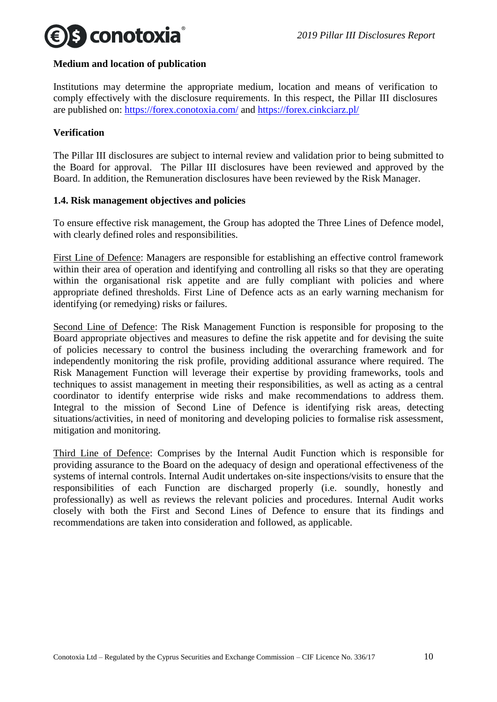

#### **Medium and location of publication**

Institutions may determine the appropriate medium, location and means of verification to comply effectively with the disclosure requirements. In this respect, the Pillar III disclosures are published on:<https://forex.conotoxia.com/> and<https://forex.cinkciarz.pl/>

#### **Verification**

The Pillar III disclosures are subject to internal review and validation prior to being submitted to the Board for approval. The Pillar III disclosures have been reviewed and approved by the Board. In addition, the Remuneration disclosures have been reviewed by the Risk Manager.

#### <span id="page-9-0"></span>**1.4. Risk management objectives and policies**

To ensure effective risk management, the Group has adopted the Three Lines of Defence model, with clearly defined roles and responsibilities.

First Line of Defence: Managers are responsible for establishing an effective control framework within their area of operation and identifying and controlling all risks so that they are operating within the organisational risk appetite and are fully compliant with policies and where appropriate defined thresholds. First Line of Defence acts as an early warning mechanism for identifying (or remedying) risks or failures.

Second Line of Defence: The Risk Management Function is responsible for proposing to the Board appropriate objectives and measures to define the risk appetite and for devising the suite of policies necessary to control the business including the overarching framework and for independently monitoring the risk profile, providing additional assurance where required. The Risk Management Function will leverage their expertise by providing frameworks, tools and techniques to assist management in meeting their responsibilities, as well as acting as a central coordinator to identify enterprise wide risks and make recommendations to address them. Integral to the mission of Second Line of Defence is identifying risk areas, detecting situations/activities, in need of monitoring and developing policies to formalise risk assessment, mitigation and monitoring.

Third Line of Defence: Comprises by the Internal Audit Function which is responsible for providing assurance to the Board on the adequacy of design and operational effectiveness of the systems of internal controls. Internal Audit undertakes on-site inspections/visits to ensure that the responsibilities of each Function are discharged properly (i.e. soundly, honestly and professionally) as well as reviews the relevant policies and procedures. Internal Audit works closely with both the First and Second Lines of Defence to ensure that its findings and recommendations are taken into consideration and followed, as applicable.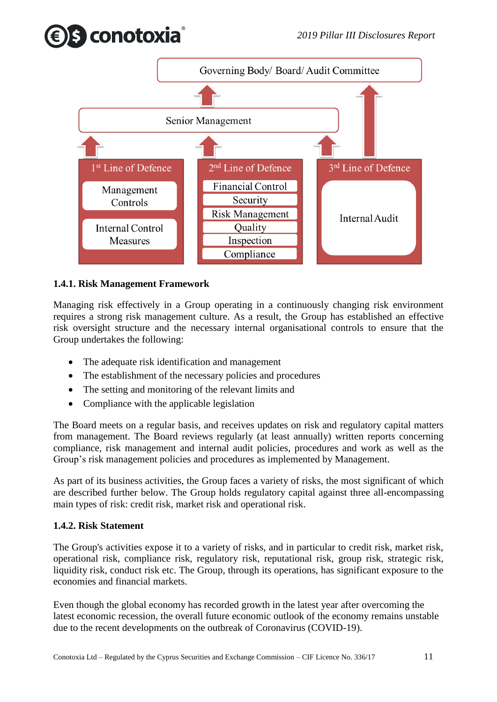



#### <span id="page-10-0"></span>**1.4.1. Risk Management Framework**

Managing risk effectively in a Group operating in a continuously changing risk environment requires a strong risk management culture. As a result, the Group has established an effective risk oversight structure and the necessary internal organisational controls to ensure that the Group undertakes the following:

- The adequate risk identification and management
- The establishment of the necessary policies and procedures
- The setting and monitoring of the relevant limits and
- Compliance with the applicable legislation

The Board meets on a regular basis, and receives updates on risk and regulatory capital matters from management. The Board reviews regularly (at least annually) written reports concerning compliance, risk management and internal audit policies, procedures and work as well as the Group's risk management policies and procedures as implemented by Management.

As part of its business activities, the Group faces a variety of risks, the most significant of which are described further below. The Group holds regulatory capital against three all-encompassing main types of risk: credit risk, market risk and operational risk.

#### <span id="page-10-1"></span>**1.4.2. Risk Statement**

The Group's activities expose it to a variety of risks, and in particular to credit risk, market risk, operational risk, compliance risk, regulatory risk, reputational risk, group risk, strategic risk, liquidity risk, conduct risk etc. The Group, through its operations, has significant exposure to the economies and financial markets.

Even though the global economy has recorded growth in the latest year after overcoming the latest economic recession, the overall future economic outlook of the economy remains unstable due to the recent developments on the outbreak of Coronavirus (COVID-19).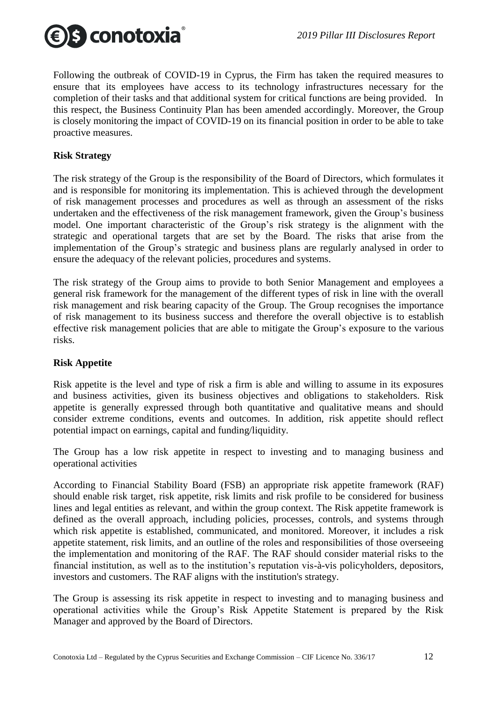

Following the outbreak of COVID-19 in Cyprus, the Firm has taken the required measures to ensure that its employees have access to its technology infrastructures necessary for the completion of their tasks and that additional system for critical functions are being provided. In this respect, the Business Continuity Plan has been amended accordingly. Moreover, the Group is closely monitoring the impact of COVID-19 on its financial position in order to be able to take proactive measures.

#### **Risk Strategy**

The risk strategy of the Group is the responsibility of the Board of Directors, which formulates it and is responsible for monitoring its implementation. This is achieved through the development of risk management processes and procedures as well as through an assessment of the risks undertaken and the effectiveness of the risk management framework, given the Group's business model. One important characteristic of the Group's risk strategy is the alignment with the strategic and operational targets that are set by the Board. The risks that arise from the implementation of the Group's strategic and business plans are regularly analysed in order to ensure the adequacy of the relevant policies, procedures and systems.

The risk strategy of the Group aims to provide to both Senior Management and employees a general risk framework for the management of the different types of risk in line with the overall risk management and risk bearing capacity of the Group. The Group recognises the importance of risk management to its business success and therefore the overall objective is to establish effective risk management policies that are able to mitigate the Group's exposure to the various risks.

#### **Risk Appetite**

Risk appetite is the level and type of risk a firm is able and willing to assume in its exposures and business activities, given its business objectives and obligations to stakeholders. Risk appetite is generally expressed through both quantitative and qualitative means and should consider extreme conditions, events and outcomes. In addition, risk appetite should reflect potential impact on earnings, capital and funding/liquidity.

The Group has a low risk appetite in respect to investing and to managing business and operational activities

According to Financial Stability Board (FSB) an appropriate risk appetite framework (RAF) should enable risk target, risk appetite, risk limits and risk profile to be considered for business lines and legal entities as relevant, and within the group context. The Risk appetite framework is defined as the overall approach, including policies, processes, controls, and systems through which risk appetite is established, communicated, and monitored. Moreover, it includes a risk appetite statement, risk limits, and an outline of the roles and responsibilities of those overseeing the implementation and monitoring of the RAF. The RAF should consider material risks to the financial institution, as well as to the institution's reputation vis-à-vis policyholders, depositors, investors and customers. The RAF aligns with the institution's strategy.

The Group is assessing its risk appetite in respect to investing and to managing business and operational activities while the Group's Risk Appetite Statement is prepared by the Risk Manager and approved by the Board of Directors.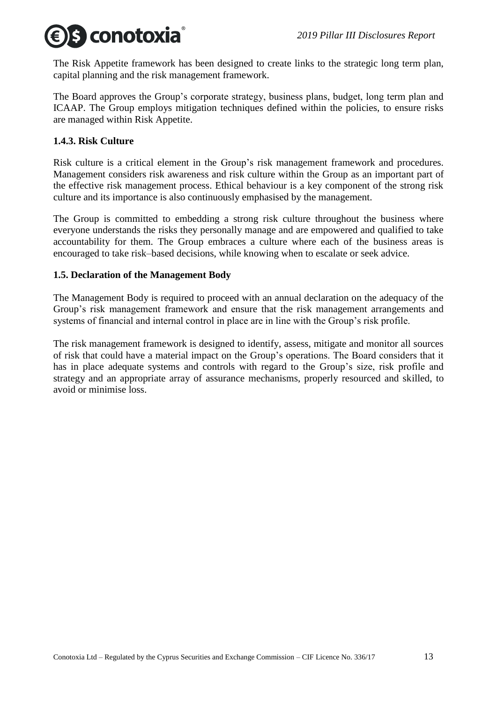

The Risk Appetite framework has been designed to create links to the strategic long term plan, capital planning and the risk management framework.

The Board approves the Group's corporate strategy, business plans, budget, long term plan and ICAAP. The Group employs mitigation techniques defined within the policies, to ensure risks are managed within Risk Appetite.

#### <span id="page-12-0"></span>**1.4.3. Risk Culture**

Risk culture is a critical element in the Group's risk management framework and procedures. Management considers risk awareness and risk culture within the Group as an important part of the effective risk management process. Ethical behaviour is a key component of the strong risk culture and its importance is also continuously emphasised by the management.

The Group is committed to embedding a strong risk culture throughout the business where everyone understands the risks they personally manage and are empowered and qualified to take accountability for them. The Group embraces a culture where each of the business areas is encouraged to take risk–based decisions, while knowing when to escalate or seek advice.

#### <span id="page-12-1"></span>**1.5. Declaration of the Management Body**

The Management Body is required to proceed with an annual declaration on the adequacy of the Group's risk management framework and ensure that the risk management arrangements and systems of financial and internal control in place are in line with the Group's risk profile.

The risk management framework is designed to identify, assess, mitigate and monitor all sources of risk that could have a material impact on the Group's operations. The Board considers that it has in place adequate systems and controls with regard to the Group's size, risk profile and strategy and an appropriate array of assurance mechanisms, properly resourced and skilled, to avoid or minimise loss.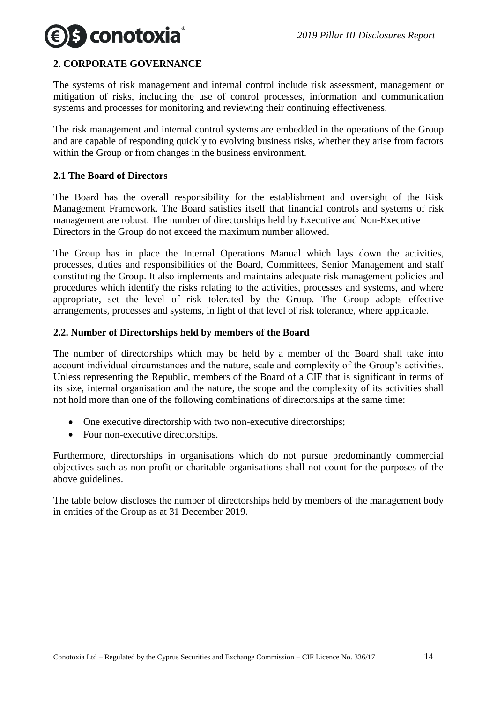### <span id="page-13-0"></span>**2. CORPORATE GOVERNANCE**

The systems of risk management and internal control include risk assessment, management or mitigation of risks, including the use of control processes, information and communication systems and processes for monitoring and reviewing their continuing effectiveness.

The risk management and internal control systems are embedded in the operations of the Group and are capable of responding quickly to evolving business risks, whether they arise from factors within the Group or from changes in the business environment.

#### <span id="page-13-1"></span>**2.1 The Board of Directors**

The Board has the overall responsibility for the establishment and oversight of the Risk Management Framework. The Board satisfies itself that financial controls and systems of risk management are robust. The number of directorships held by Executive and Non-Executive Directors in the Group do not exceed the maximum number allowed.

The Group has in place the Internal Operations Manual which lays down the activities, processes, duties and responsibilities of the Board, Committees, Senior Management and staff constituting the Group. It also implements and maintains adequate risk management policies and procedures which identify the risks relating to the activities, processes and systems, and where appropriate, set the level of risk tolerated by the Group. The Group adopts effective arrangements, processes and systems, in light of that level of risk tolerance, where applicable.

#### <span id="page-13-2"></span>**2.2. Number of Directorships held by members of the Board**

The number of directorships which may be held by a member of the Board shall take into account individual circumstances and the nature, scale and complexity of the Group's activities. Unless representing the Republic, members of the Board of a CIF that is significant in terms of its size, internal organisation and the nature, the scope and the complexity of its activities shall not hold more than one of the following combinations of directorships at the same time:

- One executive directorship with two non-executive directorships;
- Four non-executive directorships.

Furthermore, directorships in organisations which do not pursue predominantly commercial objectives such as non-profit or charitable organisations shall not count for the purposes of the above guidelines.

The table below discloses the number of directorships held by members of the management body in entities of the Group as at 31 December 2019.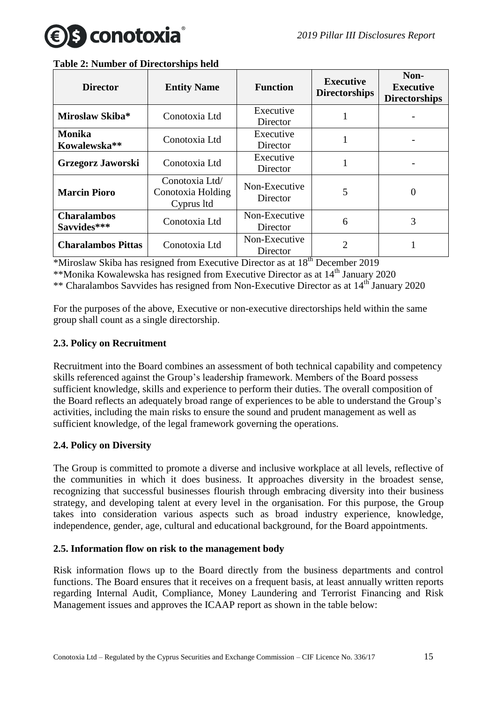

| <b>Director</b>                   | <b>Entity Name</b>                                | <b>Function</b>           | <b>Executive</b><br><b>Directorships</b> | Non-<br><b>Executive</b><br><b>Directorships</b> |
|-----------------------------------|---------------------------------------------------|---------------------------|------------------------------------------|--------------------------------------------------|
| Miroslaw Skiba*                   | Conotoxia Ltd                                     | Executive<br>Director     |                                          |                                                  |
| <b>Monika</b><br>Kowalewska**     | Conotoxia Ltd                                     | Executive<br>Director     |                                          |                                                  |
| Grzegorz Jaworski                 | Conotoxia Ltd                                     | Executive<br>Director     |                                          |                                                  |
| <b>Marcin Pioro</b>               | Conotoxia Ltd/<br>Conotoxia Holding<br>Cyprus ltd | Non-Executive<br>Director | 5                                        | $\theta$                                         |
| <b>Charalambos</b><br>Savvides*** | Conotoxia Ltd                                     | Non-Executive<br>Director | 6                                        | 3                                                |
| <b>Charalambos Pittas</b>         | Conotoxia Ltd                                     | Non-Executive<br>Director | $\overline{2}$                           |                                                  |

#### **Table 2: Number of Directorships held**

\*Miroslaw Skiba has resigned from Executive Director as at 18th December 2019 \*\*Monika Kowalewska has resigned from Executive Director as at  $14^{\text{th}}$  January 2020 \*\* Charalambos Savvides has resigned from Non-Executive Director as at 14<sup>th</sup> January 2020

For the purposes of the above, Executive or non-executive directorships held within the same group shall count as a single directorship.

#### <span id="page-14-0"></span>**2.3. Policy on Recruitment**

Recruitment into the Board combines an assessment of both technical capability and competency skills referenced against the Group's leadership framework. Members of the Board possess sufficient knowledge, skills and experience to perform their duties. The overall composition of the Board reflects an adequately broad range of experiences to be able to understand the Group's activities, including the main risks to ensure the sound and prudent management as well as sufficient knowledge, of the legal framework governing the operations.

#### <span id="page-14-1"></span>**2.4. Policy on Diversity**

The Group is committed to promote a diverse and inclusive workplace at all levels, reflective of the communities in which it does business. It approaches diversity in the broadest sense, recognizing that successful businesses flourish through embracing diversity into their business strategy, and developing talent at every level in the organisation. For this purpose, the Group takes into consideration various aspects such as broad industry experience, knowledge, independence, gender, age, cultural and educational background, for the Board appointments.

#### <span id="page-14-2"></span>**2.5. Information flow on risk to the management body**

Risk information flows up to the Board directly from the business departments and control functions. The Board ensures that it receives on a frequent basis, at least annually written reports regarding Internal Audit, Compliance, Money Laundering and Terrorist Financing and Risk Management issues and approves the ICAAP report as shown in the table below: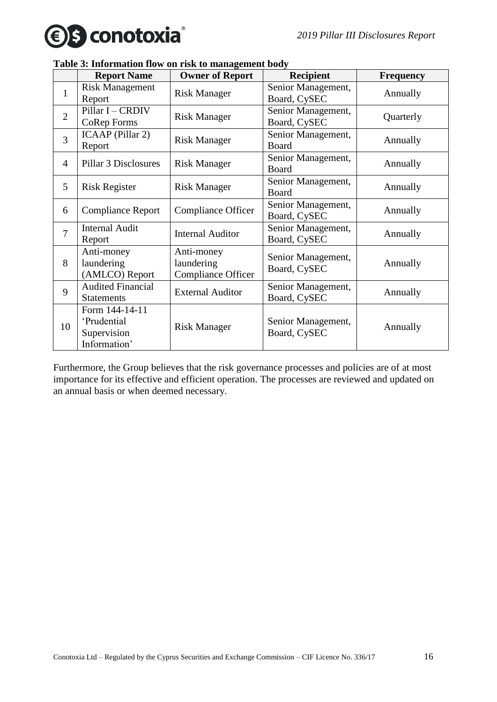



|                | <b>Report Name</b>                                           | <b>Owner of Report</b>                                | <b>Recipient</b>                   | <b>Frequency</b> |
|----------------|--------------------------------------------------------------|-------------------------------------------------------|------------------------------------|------------------|
| $\mathbf{1}$   | <b>Risk Management</b><br>Report                             | <b>Risk Manager</b>                                   | Senior Management,<br>Board, CySEC | Annually         |
| $\overline{2}$ | Pillar I - CRDIV<br>CoRep Forms                              | <b>Risk Manager</b>                                   | Senior Management,<br>Board, CySEC | Quarterly        |
| 3              | ICAAP (Pillar 2)<br>Report                                   | <b>Risk Manager</b>                                   | Senior Management,<br>Board        | Annually         |
| $\overline{4}$ | Pillar 3 Disclosures                                         | <b>Risk Manager</b>                                   | Senior Management,<br>Board        | Annually         |
| 5              | <b>Risk Register</b>                                         | <b>Risk Manager</b>                                   | Senior Management,<br>Board        | Annually         |
| 6              | <b>Compliance Report</b>                                     | <b>Compliance Officer</b>                             | Senior Management,<br>Board, CySEC | Annually         |
| $\overline{7}$ | <b>Internal Audit</b><br>Report                              | <b>Internal Auditor</b>                               | Senior Management,<br>Board, CySEC | Annually         |
| 8              | Anti-money<br>laundering<br>(AMLCO) Report                   | Anti-money<br>laundering<br><b>Compliance Officer</b> | Senior Management,<br>Board, CySEC | Annually         |
| 9              | <b>Audited Financial</b><br><b>Statements</b>                | <b>External Auditor</b>                               | Senior Management,<br>Board, CySEC | Annually         |
| 10             | Form 144-14-11<br>'Prudential<br>Supervision<br>Information' | <b>Risk Manager</b>                                   | Senior Management,<br>Board, CySEC | Annually         |

### **Table 3: Information flow on risk to management body**

Furthermore, the Group believes that the risk governance processes and policies are of at most importance for its effective and efficient operation. The processes are reviewed and updated on an annual basis or when deemed necessary.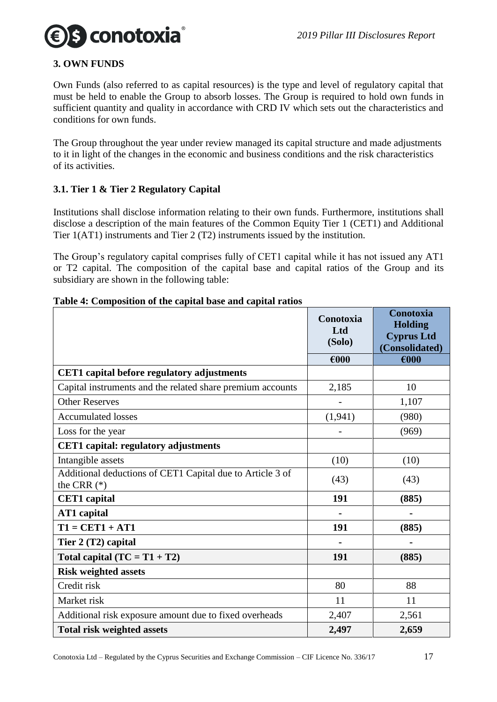

#### <span id="page-16-0"></span>**3. OWN FUNDS**

Own Funds (also referred to as capital resources) is the type and level of regulatory capital that must be held to enable the Group to absorb losses. The Group is required to hold own funds in sufficient quantity and quality in accordance with CRD IV which sets out the characteristics and conditions for own funds.

The Group throughout the year under review managed its capital structure and made adjustments to it in light of the changes in the economic and business conditions and the risk characteristics of its activities.

#### <span id="page-16-1"></span>**3.1. Tier 1 & Tier 2 Regulatory Capital**

Institutions shall disclose information relating to their own funds. Furthermore, institutions shall disclose a description of the main features of the Common Equity Tier 1 (CET1) and Additional Tier 1(AT1) instruments and Tier 2 (T2) instruments issued by the institution.

The Group's regulatory capital comprises fully of CET1 capital while it has not issued any AT1 or T2 capital. The composition of the capital base and capital ratios of the Group and its subsidiary are shown in the following table:

|                                                                            | Conotoxia<br>Ltd<br>(Solo) | Conotoxia<br><b>Holding</b><br><b>Cyprus Ltd</b><br>(Consolidated) |
|----------------------------------------------------------------------------|----------------------------|--------------------------------------------------------------------|
|                                                                            | $\epsilon$ 000             | €000                                                               |
| <b>CET1</b> capital before regulatory adjustments                          |                            |                                                                    |
| Capital instruments and the related share premium accounts                 | 2,185                      | 10                                                                 |
| <b>Other Reserves</b>                                                      |                            | 1,107                                                              |
| <b>Accumulated losses</b>                                                  | (1, 941)                   | (980)                                                              |
| Loss for the year                                                          |                            | (969)                                                              |
| <b>CET1</b> capital: regulatory adjustments                                |                            |                                                                    |
| Intangible assets                                                          | (10)                       | (10)                                                               |
| Additional deductions of CET1 Capital due to Article 3 of<br>the CRR $(*)$ | (43)                       | (43)                                                               |
| <b>CET1</b> capital                                                        | 191                        | (885)                                                              |
| <b>AT1</b> capital                                                         |                            |                                                                    |
| $T1 = CET1 + AT1$                                                          | 191                        | (885)                                                              |
| Tier 2 (T2) capital                                                        |                            |                                                                    |
| Total capital $(TC = T1 + T2)$                                             | 191                        | (885)                                                              |
| <b>Risk weighted assets</b>                                                |                            |                                                                    |
| Credit risk                                                                | 80                         | 88                                                                 |
| Market risk                                                                | 11                         | 11                                                                 |
| Additional risk exposure amount due to fixed overheads                     | 2,407                      | 2,561                                                              |
| <b>Total risk weighted assets</b>                                          | 2,497                      | 2,659                                                              |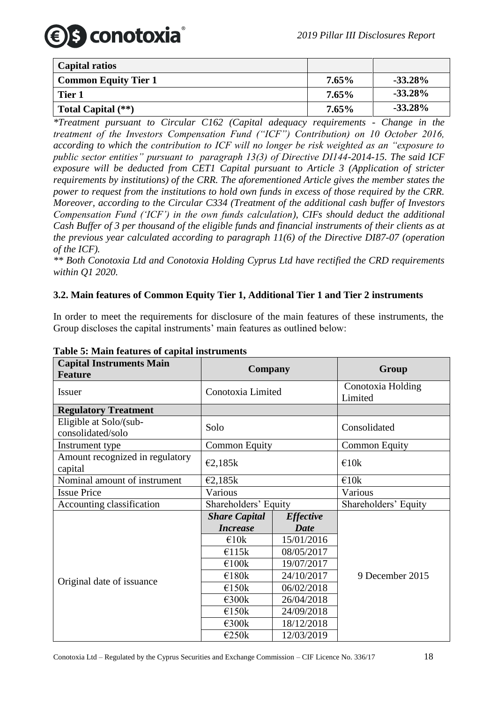

| Capital ratios              |          |            |
|-----------------------------|----------|------------|
| <b>Common Equity Tier 1</b> | $7.65\%$ | $-33.28\%$ |
| Tier 1                      | $7.65\%$ | $-33.28\%$ |
| Total Capital (**)          | $7.65\%$ | $-33.28\%$ |

*\*Treatment pursuant to Circular C162 (Capital adequacy requirements - Change in the treatment of the Investors Compensation Fund ("ICF") Contribution) on 10 October 2016, according to which the contribution to ICF will no longer be risk weighted as an "exposure to public sector entities" pursuant to paragraph 13(3) of Directive DI144-2014-15. The said ICF exposure will be deducted from CET1 Capital pursuant to Article 3 (Application of stricter requirements by institutions) of the CRR. The aforementioned Article gives the member states the power to request from the institutions to hold own funds in excess of those required by the CRR. Moreover, according to the Circular C334 (Treatment of the additional cash buffer of Investors Compensation Fund ('ICF') in the own funds calculation), CIFs should deduct the additional Cash Buffer of 3 per thousand of the eligible funds and financial instruments of their clients as at the previous year calculated according to paragraph 11(6) of the Directive DI87-07 (operation of the ICF).*

*\*\* Both Conotoxia Ltd and Conotoxia Holding Cyprus Ltd have rectified the CRD requirements within Q1 2020.*

#### <span id="page-17-0"></span>**3.2. Main features of Common Equity Tier 1, Additional Tier 1 and Tier 2 instruments**

In order to meet the requirements for disclosure of the main features of these instruments, the Group discloses the capital instruments' main features as outlined below:

| Table 5. Maill reatures of capital modelments<br><b>Capital Instruments Main</b> |                      |                  |                              |  |
|----------------------------------------------------------------------------------|----------------------|------------------|------------------------------|--|
| <b>Feature</b>                                                                   | <b>Company</b>       |                  | Group                        |  |
| Issuer                                                                           | Conotoxia Limited    |                  | Conotoxia Holding<br>Limited |  |
| <b>Regulatory Treatment</b>                                                      |                      |                  |                              |  |
| Eligible at Solo/(sub-<br>consolidated/solo                                      | Solo                 |                  | Consolidated                 |  |
| Instrument type                                                                  | <b>Common Equity</b> |                  | <b>Common Equity</b>         |  |
| Amount recognized in regulatory<br>capital                                       | E2,185k              |                  | €10k                         |  |
| Nominal amount of instrument                                                     | E2,185k              |                  | €10k                         |  |
| <b>Issue Price</b>                                                               | Various              |                  | Various                      |  |
| Accounting classification                                                        | Shareholders' Equity |                  | Shareholders' Equity         |  |
|                                                                                  | <b>Share Capital</b> | <b>Effective</b> |                              |  |
| Original date of issuance                                                        | <b>Increase</b>      | <b>Date</b>      |                              |  |
|                                                                                  | $\epsilon$ 10k       | 15/01/2016       |                              |  |
|                                                                                  | €115k                | 08/05/2017       |                              |  |
|                                                                                  | €100k                | 19/07/2017       |                              |  |
|                                                                                  | €180k                | 24/10/2017       | 9 December 2015              |  |
|                                                                                  | €150k                | 06/02/2018       |                              |  |
|                                                                                  | $\epsilon$ 300 $k$   | 26/04/2018       |                              |  |
|                                                                                  | €150k                | 24/09/2018       |                              |  |
|                                                                                  | $\epsilon$ 300 $k$   | 18/12/2018       |                              |  |
|                                                                                  | €250k                | 12/03/2019       |                              |  |

#### **Table 5: Main features of capital instruments**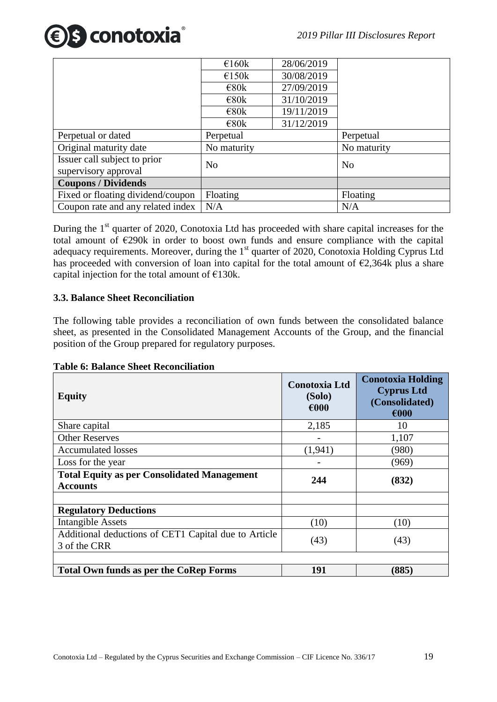

|                                                      | €160k             | 28/06/2019 |                |
|------------------------------------------------------|-------------------|------------|----------------|
|                                                      | $\epsilon$ 150k   | 30/08/2019 |                |
|                                                      | $\epsilon$ 80 $k$ | 27/09/2019 |                |
|                                                      | $\epsilon$ 80 $k$ | 31/10/2019 |                |
|                                                      | $\epsilon$ 80k    | 19/11/2019 |                |
|                                                      | $\epsilon$ 80k    | 31/12/2019 |                |
| Perpetual or dated                                   | Perpetual         |            | Perpetual      |
| Original maturity date                               | No maturity       |            | No maturity    |
| Issuer call subject to prior<br>supervisory approval | N <sub>o</sub>    |            | N <sub>o</sub> |
| <b>Coupons / Dividends</b>                           |                   |            |                |
| Fixed or floating dividend/coupon                    | Floating          |            | Floating       |
| Coupon rate and any related index                    | N/A               |            | N/A            |

During the  $1<sup>st</sup>$  quarter of 2020, Conotoxia Ltd has proceeded with share capital increases for the total amount of  $\epsilon$ 290k in order to boost own funds and ensure compliance with the capital adequacy requirements. Moreover, during the 1<sup>st</sup> quarter of 2020, Conotoxia Holding Cyprus Ltd has proceeded with conversion of loan into capital for the total amount of  $\epsilon$ 2,364k plus a share capital injection for the total amount of  $E130k$ .

#### <span id="page-18-1"></span><span id="page-18-0"></span>**3.3. Balance Sheet Reconciliation**

The following table provides a reconciliation of own funds between the consolidated balance sheet, as presented in the Consolidated Management Accounts of the Group, and the financial position of the Group prepared for regulatory purposes.

**Table 6: Balance Sheet Reconciliation**

| <b>Equity</b>                                                         | <b>Conotoxia Ltd</b><br>(Solo)<br>€000 | <b>Conotoxia Holding</b><br><b>Cyprus Ltd</b><br>(Consolidated)<br>€000 |
|-----------------------------------------------------------------------|----------------------------------------|-------------------------------------------------------------------------|
| Share capital                                                         | 2,185                                  | 10                                                                      |
| <b>Other Reserves</b>                                                 |                                        | 1,107                                                                   |
| <b>Accumulated losses</b>                                             | (1,941)                                | (980)                                                                   |
| Loss for the year                                                     |                                        | (969)                                                                   |
| <b>Total Equity as per Consolidated Management</b><br><b>Accounts</b> | 244                                    | (832)                                                                   |
| <b>Regulatory Deductions</b>                                          |                                        |                                                                         |
| Intangible Assets                                                     | (10)                                   | (10)                                                                    |
| Additional deductions of CET1 Capital due to Article<br>3 of the CRR  | (43)                                   | (43)                                                                    |
| <b>Total Own funds as per the CoRep Forms</b>                         | 191                                    | (885)                                                                   |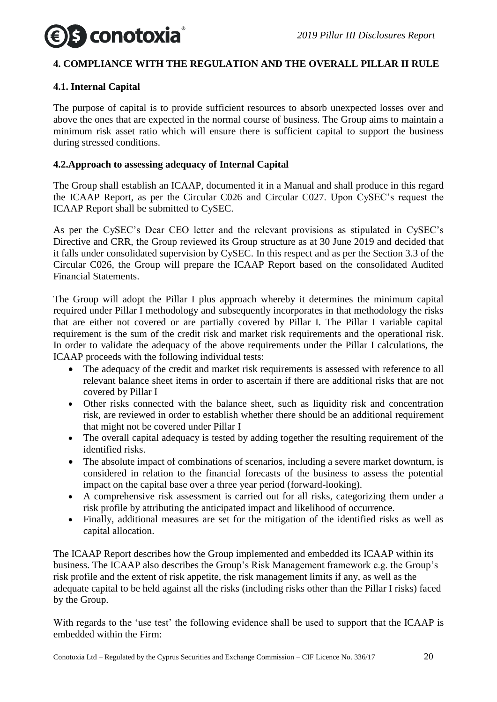

#### <span id="page-19-0"></span>**4. COMPLIANCE WITH THE REGULATION AND THE OVERALL PILLAR II RULE**

#### <span id="page-19-1"></span>**4.1. Internal Capital**

The purpose of capital is to provide sufficient resources to absorb unexpected losses over and above the ones that are expected in the normal course of business. The Group aims to maintain a minimum risk asset ratio which will ensure there is sufficient capital to support the business during stressed conditions.

#### <span id="page-19-2"></span>**4.2.Approach to assessing adequacy of Internal Capital**

The Group shall establish an ICAAP, documented it in a Manual and shall produce in this regard the ICAAP Report, as per the Circular C026 and Circular C027. Upon CySEC's request the ICAAP Report shall be submitted to CySEC.

As per the CySEC's Dear CEO letter and the relevant provisions as stipulated in CySEC's Directive and CRR, the Group reviewed its Group structure as at 30 June 2019 and decided that it falls under consolidated supervision by CySEC. In this respect and as per the Section 3.3 of the Circular C026, the Group will prepare the ICAAP Report based on the consolidated Audited Financial Statements.

The Group will adopt the Pillar I plus approach whereby it determines the minimum capital required under Pillar I methodology and subsequently incorporates in that methodology the risks that are either not covered or are partially covered by Pillar I. The Pillar I variable capital requirement is the sum of the credit risk and market risk requirements and the operational risk. In order to validate the adequacy of the above requirements under the Pillar I calculations, the ICAAP proceeds with the following individual tests:

- The adequacy of the credit and market risk requirements is assessed with reference to all relevant balance sheet items in order to ascertain if there are additional risks that are not covered by Pillar I
- Other risks connected with the balance sheet, such as liquidity risk and concentration risk, are reviewed in order to establish whether there should be an additional requirement that might not be covered under Pillar I
- The overall capital adequacy is tested by adding together the resulting requirement of the identified risks.
- The absolute impact of combinations of scenarios, including a severe market downturn, is considered in relation to the financial forecasts of the business to assess the potential impact on the capital base over a three year period (forward-looking).
- A comprehensive risk assessment is carried out for all risks, categorizing them under a risk profile by attributing the anticipated impact and likelihood of occurrence.
- Finally, additional measures are set for the mitigation of the identified risks as well as capital allocation.

The ICAAP Report describes how the Group implemented and embedded its ICAAP within its business. The ICAAP also describes the Group's Risk Management framework e.g. the Group's risk profile and the extent of risk appetite, the risk management limits if any, as well as the adequate capital to be held against all the risks (including risks other than the Pillar I risks) faced by the Group.

With regards to the 'use test' the following evidence shall be used to support that the ICAAP is embedded within the Firm: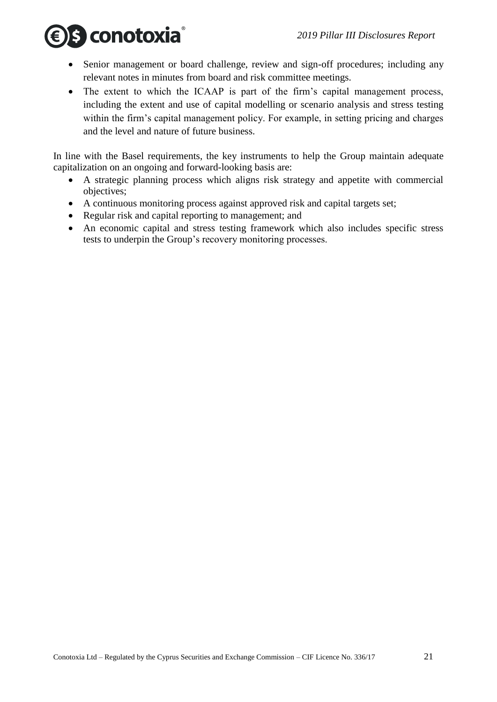

- Senior management or board challenge, review and sign-off procedures; including any relevant notes in minutes from board and risk committee meetings.
- The extent to which the ICAAP is part of the firm's capital management process, including the extent and use of capital modelling or scenario analysis and stress testing within the firm's capital management policy. For example, in setting pricing and charges and the level and nature of future business.

In line with the Basel requirements, the key instruments to help the Group maintain adequate capitalization on an ongoing and forward-looking basis are:

- A strategic planning process which aligns risk strategy and appetite with commercial objectives;
- A continuous monitoring process against approved risk and capital targets set;
- Regular risk and capital reporting to management; and
- An economic capital and stress testing framework which also includes specific stress tests to underpin the Group's recovery monitoring processes.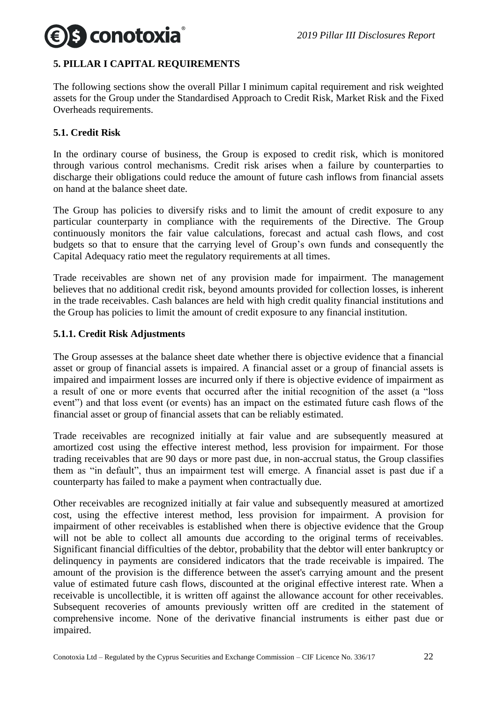

#### <span id="page-21-0"></span>**5. PILLAR I CAPITAL REQUIREMENTS**

The following sections show the overall Pillar I minimum capital requirement and risk weighted assets for the Group under the Standardised Approach to Credit Risk, Market Risk and the Fixed Overheads requirements.

#### <span id="page-21-1"></span>**5.1. Credit Risk**

In the ordinary course of business, the Group is exposed to credit risk, which is monitored through various control mechanisms. Credit risk arises when a failure by counterparties to discharge their obligations could reduce the amount of future cash inflows from financial assets on hand at the balance sheet date.

The Group has policies to diversify risks and to limit the amount of credit exposure to any particular counterparty in compliance with the requirements of the Directive. The Group continuously monitors the fair value calculations, forecast and actual cash flows, and cost budgets so that to ensure that the carrying level of Group's own funds and consequently the Capital Adequacy ratio meet the regulatory requirements at all times.

Trade receivables are shown net of any provision made for impairment. The management believes that no additional credit risk, beyond amounts provided for collection losses, is inherent in the trade receivables. Cash balances are held with high credit quality financial institutions and the Group has policies to limit the amount of credit exposure to any financial institution.

#### <span id="page-21-2"></span>**5.1.1. Credit Risk Adjustments**

The Group assesses at the balance sheet date whether there is objective evidence that a financial asset or group of financial assets is impaired. A financial asset or a group of financial assets is impaired and impairment losses are incurred only if there is objective evidence of impairment as a result of one or more events that occurred after the initial recognition of the asset (a "loss event") and that loss event (or events) has an impact on the estimated future cash flows of the financial asset or group of financial assets that can be reliably estimated.

Trade receivables are recognized initially at fair value and are subsequently measured at amortized cost using the effective interest method, less provision for impairment. For those trading receivables that are 90 days or more past due, in non-accrual status, the Group classifies them as "in default", thus an impairment test will emerge. A financial asset is past due if a counterparty has failed to make a payment when contractually due.

Other receivables are recognized initially at fair value and subsequently measured at amortized cost, using the effective interest method, less provision for impairment. A provision for impairment of other receivables is established when there is objective evidence that the Group will not be able to collect all amounts due according to the original terms of receivables. Significant financial difficulties of the debtor, probability that the debtor will enter bankruptcy or delinquency in payments are considered indicators that the trade receivable is impaired. The amount of the provision is the difference between the asset's carrying amount and the present value of estimated future cash flows, discounted at the original effective interest rate. When a receivable is uncollectible, it is written off against the allowance account for other receivables. Subsequent recoveries of amounts previously written off are credited in the statement of comprehensive income. None of the derivative financial instruments is either past due or impaired.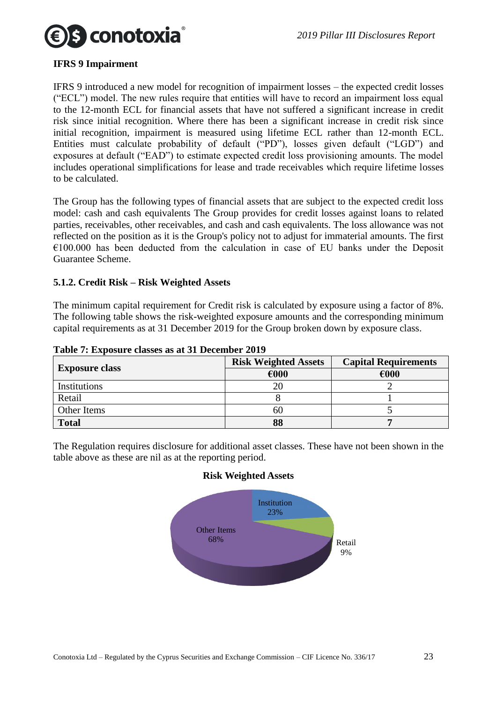

#### **IFRS 9 Impairment**

IFRS 9 introduced a new model for recognition of impairment losses – the expected credit losses ("ECL") model. The new rules require that entities will have to record an impairment loss equal to the 12-month ECL for financial assets that have not suffered a significant increase in credit risk since initial recognition. Where there has been a significant increase in credit risk since initial recognition, impairment is measured using lifetime ECL rather than 12-month ECL. Entities must calculate probability of default ("PD"), losses given default ("LGD") and exposures at default ("EAD") to estimate expected credit loss provisioning amounts. The model includes operational simplifications for lease and trade receivables which require lifetime losses to be calculated.

The Group has the following types of financial assets that are subject to the expected credit loss model: cash and cash equivalents The Group provides for credit losses against loans to related parties, receivables, other receivables, and cash and cash equivalents. The loss allowance was not reflected on the position as it is the Group's policy not to adjust for immaterial amounts. The first  $€100.000$  has been deducted from the calculation in case of EU banks under the Deposit Guarantee Scheme.

#### <span id="page-22-0"></span>**5.1.2. Credit Risk – Risk Weighted Assets**

The minimum capital requirement for Credit risk is calculated by exposure using a factor of 8%. The following table shows the risk-weighted exposure amounts and the corresponding minimum capital requirements as at 31 December 2019 for the Group broken down by exposure class.

|                       | <b>Risk Weighted Assets</b> | <b>Capital Requirements</b> |
|-----------------------|-----------------------------|-----------------------------|
| <b>Exposure class</b> | €000                        | €000                        |
| Institutions          | 20                          |                             |
| Retail                |                             |                             |
| Other Items           | 60                          |                             |
| <b>Total</b>          | 88                          |                             |

**Table 7: Exposure classes as at 31 December 2019**

The Regulation requires disclosure for additional asset classes. These have not been shown in the table above as these are nil as at the reporting period.

#### **Risk Weighted Assets**

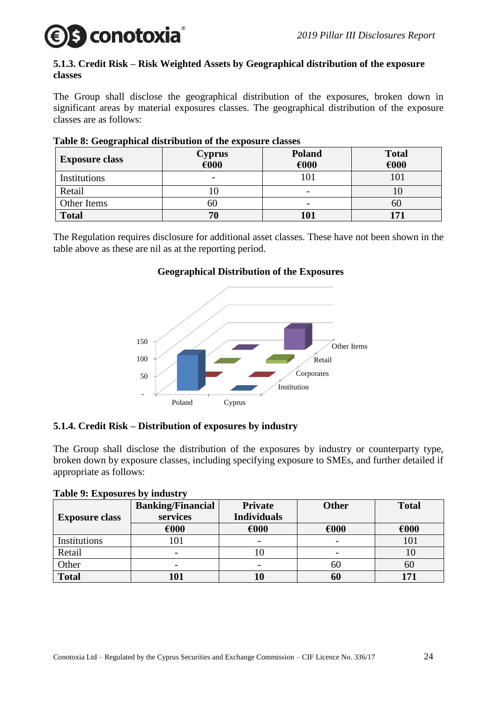## **conotoxia**

#### <span id="page-23-0"></span>**5.1.3. Credit Risk – Risk Weighted Assets by Geographical distribution of the exposure classes**

The Group shall disclose the geographical distribution of the exposures, broken down in significant areas by material exposures classes. The geographical distribution of the exposure classes are as follows:

| <b>Exposure class</b> | <b>Cyprus</b><br>€000 | <b>Poland</b><br>€000 | <b>Total</b><br>€000 |
|-----------------------|-----------------------|-----------------------|----------------------|
| Institutions          |                       |                       | IОI                  |
| Retail                | 10                    |                       |                      |
| Other Items           | OU                    | -                     | 60                   |
| <b>Total</b>          | 70                    | 101                   | 51                   |

### **Table 8: Geographical distribution of the exposure classes**

The Regulation requires disclosure for additional asset classes. These have not been shown in the table above as these are nil as at the reporting period.

### **Geographical Distribution of the Exposures**



### <span id="page-23-1"></span>**5.1.4. Credit Risk – Distribution of exposures by industry**

The Group shall disclose the distribution of the exposures by industry or counterparty type, broken down by exposure classes, including specifying exposure to SMEs, and further detailed if appropriate as follows:

|  |  |  | Table 9: Exposures by industry |
|--|--|--|--------------------------------|
|--|--|--|--------------------------------|

|                       | <b>Banking/Financial</b> | <b>Private</b>           | <b>Other</b> | <b>Total</b> |
|-----------------------|--------------------------|--------------------------|--------------|--------------|
| <b>Exposure class</b> | services                 | <b>Individuals</b>       |              |              |
|                       | €000                     | €000                     | €000         | €000         |
| Institutions          | 01                       |                          |              | 101          |
| Retail                | $\overline{\phantom{0}}$ | 1 U                      | -            | Ю            |
| Other                 | $\overline{\phantom{0}}$ | $\overline{\phantom{0}}$ | 6U           | 60           |
| <b>Total</b>          | <b>01</b>                |                          | 60           | 171          |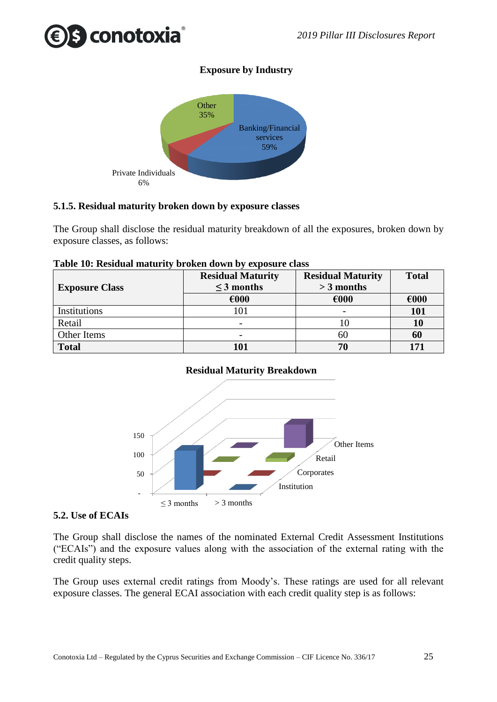## s conotoxia

## **Exposure by Industry**



### <span id="page-24-0"></span>**5.1.5. Residual maturity broken down by exposure classes**

The Group shall disclose the residual maturity breakdown of all the exposures, broken down by exposure classes, as follows:

| <b>Exposure Class</b> | <b>Residual Maturity</b><br>$\leq$ 3 months | <b>Residual Maturity</b><br>$>$ 3 months | <b>Total</b> |
|-----------------------|---------------------------------------------|------------------------------------------|--------------|
|                       | €000                                        | €000                                     | €000         |
| Institutions          | 101                                         |                                          | 101          |
| Retail                |                                             | 10                                       | 10           |
| Other Items           |                                             | 60                                       | 60           |
| <b>Total</b>          | 101                                         | 70                                       | 171          |

#### **Table 10: Residual maturity broken down by exposure class**

#### **Residual Maturity Breakdown**



#### <span id="page-24-1"></span>**5.2. Use of ECAIs**

The Group shall disclose the names of the nominated External Credit Assessment Institutions ("ECAIs") and the exposure values along with the association of the external rating with the credit quality steps.

The Group uses external credit ratings from Moody's. These ratings are used for all relevant exposure classes. The general ECAI association with each credit quality step is as follows: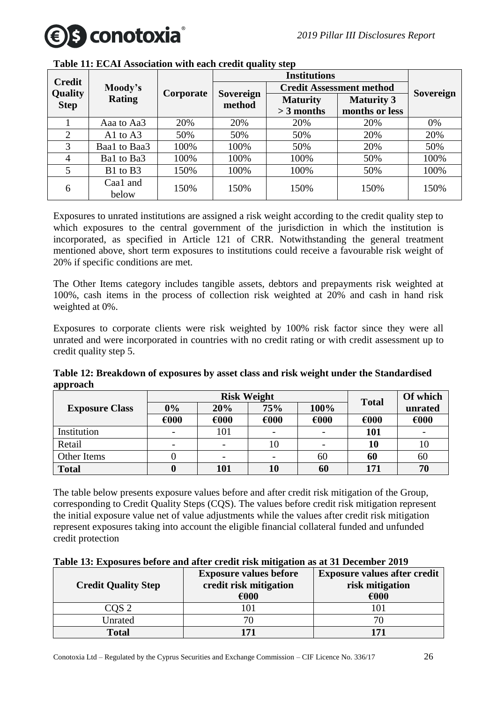

|                               |                   |           | <b>Institutions</b> |                 |                                 |                  |
|-------------------------------|-------------------|-----------|---------------------|-----------------|---------------------------------|------------------|
| <b>Credit</b>                 | Moody's           |           |                     |                 | <b>Credit Assessment method</b> |                  |
| <b>Quality</b><br><b>Step</b> | <b>Rating</b>     | Corporate | Sovereign<br>method | <b>Maturity</b> | <b>Maturity 3</b>               | <b>Sovereign</b> |
|                               |                   |           |                     | $>$ 3 months    | months or less                  |                  |
|                               | Aaa to Aa3        | 20%       | 20%                 | 20%             | 20%                             | 0%               |
| 2                             | A1 to $A3$        | 50%       | 50%                 | 50%             | 20%                             | 20%              |
| 3                             | Baa1 to Baa3      | 100%      | 100%                | 50%             | 20%                             | 50%              |
| 4                             | Bal to Ba3        | 100%      | 100%                | 100%            | 50%                             | 100%             |
| 5                             | B1 to B3          | 150%      | 100%                | 100%            | 50%                             | 100%             |
| 6                             | Caa1 and<br>below | 150%      | 150%                | 150%            | 150%                            | 150%             |

**Table 11: ECAI Association with each credit quality step**

Exposures to unrated institutions are assigned a risk weight according to the credit quality step to which exposures to the central government of the jurisdiction in which the institution is incorporated, as specified in Article 121 of CRR. Notwithstanding the general treatment mentioned above, short term exposures to institutions could receive a favourable risk weight of 20% if specific conditions are met.

The Other Items category includes tangible assets, debtors and prepayments risk weighted at 100%, cash items in the process of collection risk weighted at 20% and cash in hand risk weighted at 0%.

Exposures to corporate clients were risk weighted by 100% risk factor since they were all unrated and were incorporated in countries with no credit rating or with credit assessment up to credit quality step 5.

**Table 12: Breakdown of exposures by asset class and risk weight under the Standardised approach**

|                       | <b>Risk Weight</b> |      |      |      | <b>Total</b> | Of which |
|-----------------------|--------------------|------|------|------|--------------|----------|
| <b>Exposure Class</b> | $0\%$              | 20%  | 75%  | 100% |              | unrated  |
|                       | €000               | €000 | €000 | €000 | €000         | €000     |
| Institution           |                    | 101  |      |      | 101          |          |
| Retail                |                    | -    | 10   |      | 10           | 10       |
| Other Items           |                    | -    |      | 60   | 60           | 60       |
| <b>Total</b>          |                    | 101  | 10   | 60   | 171          | 70       |

The table below presents exposure values before and after credit risk mitigation of the Group, corresponding to Credit Quality Steps (CQS). The values before credit risk mitigation represent the initial exposure value net of value adjustments while the values after credit risk mitigation represent exposures taking into account the eligible financial collateral funded and unfunded credit protection

| Table 13: Exposures before and after credit risk mitigation as at 31 December 2019 |  |
|------------------------------------------------------------------------------------|--|
|                                                                                    |  |

| <b>Credit Quality Step</b> | <b>Exposure values before</b><br>credit risk mitigation<br>€000 | <b>Exposure values after credit</b><br>risk mitigation<br>€000 |
|----------------------------|-----------------------------------------------------------------|----------------------------------------------------------------|
| COS <sub>2</sub>           |                                                                 |                                                                |
| Unrated                    |                                                                 | 70                                                             |
| <b>Total</b>               |                                                                 | 171                                                            |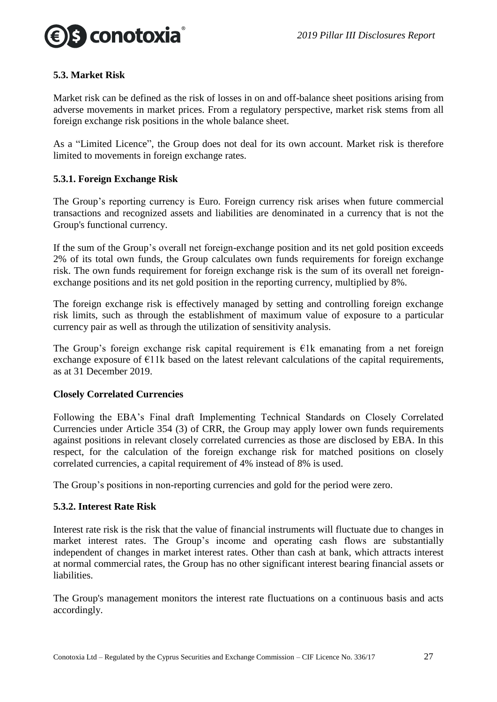

#### <span id="page-26-0"></span>**5.3. Market Risk**

Market risk can be defined as the risk of losses in on and off-balance sheet positions arising from adverse movements in market prices. From a regulatory perspective, market risk stems from all foreign exchange risk positions in the whole balance sheet.

As a "Limited Licence", the Group does not deal for its own account. Market risk is therefore limited to movements in foreign exchange rates.

#### <span id="page-26-1"></span>**5.3.1. Foreign Exchange Risk**

The Group's reporting currency is Euro. Foreign currency risk arises when future commercial transactions and recognized assets and liabilities are denominated in a currency that is not the Group's functional currency.

If the sum of the Group's overall net foreign-exchange position and its net gold position exceeds 2% of its total own funds, the Group calculates own funds requirements for foreign exchange risk. The own funds requirement for foreign exchange risk is the sum of its overall net foreignexchange positions and its net gold position in the reporting currency, multiplied by 8%.

The foreign exchange risk is effectively managed by setting and controlling foreign exchange risk limits, such as through the establishment of maximum value of exposure to a particular currency pair as well as through the utilization of sensitivity analysis.

The Group's foreign exchange risk capital requirement is  $E1k$  emanating from a net foreign exchange exposure of  $E11k$  based on the latest relevant calculations of the capital requirements, as at 31 December 2019.

#### **Closely Correlated Currencies**

Following the EBA's Final draft Implementing Technical Standards on Closely Correlated Currencies under Article 354 (3) of CRR, the Group may apply lower own funds requirements against positions in relevant closely correlated currencies as those are disclosed by EBA. In this respect, for the calculation of the foreign exchange risk for matched positions on closely correlated currencies, a capital requirement of 4% instead of 8% is used.

The Group's positions in non-reporting currencies and gold for the period were zero.

#### <span id="page-26-2"></span>**5.3.2. Interest Rate Risk**

Interest rate risk is the risk that the value of financial instruments will fluctuate due to changes in market interest rates. The Group's income and operating cash flows are substantially independent of changes in market interest rates. Other than cash at bank, which attracts interest at normal commercial rates, the Group has no other significant interest bearing financial assets or liabilities.

The Group's management monitors the interest rate fluctuations on a continuous basis and acts accordingly.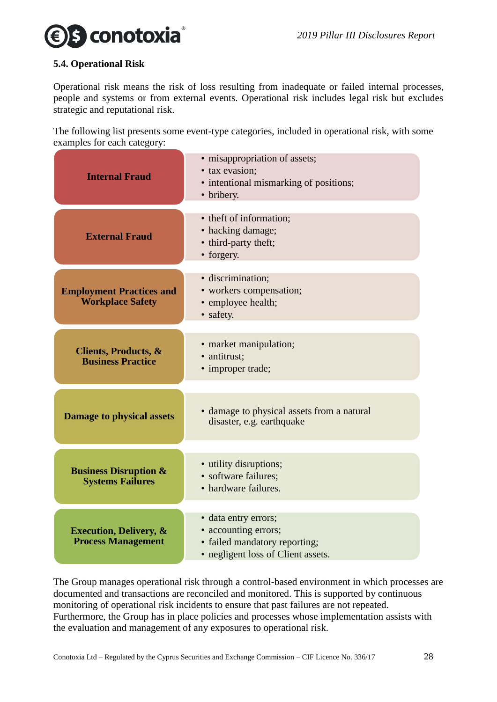## s conotoxia

#### <span id="page-27-0"></span>**5.4. Operational Risk**

Operational risk means the risk of loss resulting from inadequate or failed internal processes, people and systems or from external events. Operational risk includes legal risk but excludes strategic and reputational risk.

The following list presents some event-type categories, included in operational risk, with some examples for each category:

| <b>Internal Fraud</b>                                          | • misappropriation of assets;<br>· tax evasion;<br>• intentional mismarking of positions;<br>• bribery.             |  |
|----------------------------------------------------------------|---------------------------------------------------------------------------------------------------------------------|--|
| <b>External Fraud</b>                                          | • theft of information;<br>• hacking damage;<br>• third-party theft;<br>• forgery.                                  |  |
| <b>Employment Practices and</b><br><b>Workplace Safety</b>     | · discrimination;<br>• workers compensation;<br>• employee health;<br>· safety.                                     |  |
| <b>Clients, Products, &amp;</b><br><b>Business Practice</b>    | • market manipulation;<br>· antitrust;<br>• improper trade;                                                         |  |
| <b>Damage to physical assets</b>                               | • damage to physical assets from a natural<br>disaster, e.g. earthquake                                             |  |
| <b>Business Disruption &amp;</b><br><b>Systems Failures</b>    | • utility disruptions;<br>• software failures:<br>• hardware failures.                                              |  |
| <b>Execution, Delivery, &amp;</b><br><b>Process Management</b> | · data entry errors;<br>• accounting errors;<br>• failed mandatory reporting;<br>• negligent loss of Client assets. |  |

The Group manages operational risk through a control-based environment in which processes are documented and transactions are reconciled and monitored. This is supported by continuous monitoring of operational risk incidents to ensure that past failures are not repeated. Furthermore, the Group has in place policies and processes whose implementation assists with the evaluation and management of any exposures to operational risk.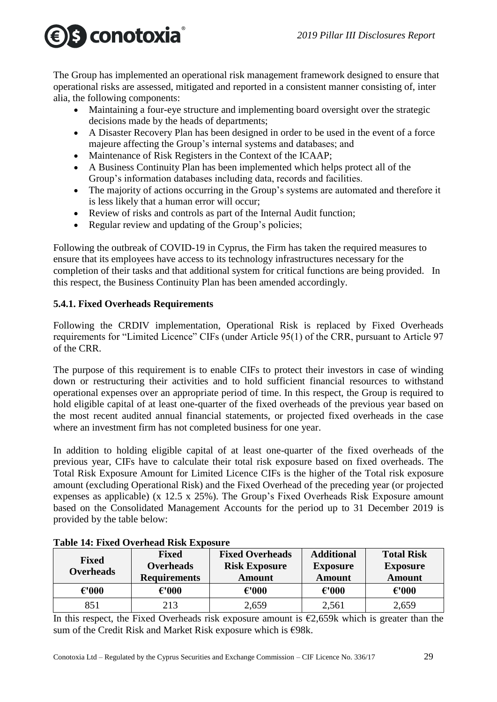# S conotoxia

The Group has implemented an operational risk management framework designed to ensure that operational risks are assessed, mitigated and reported in a consistent manner consisting of, inter alia, the following components:

- Maintaining a four-eye structure and implementing board oversight over the strategic decisions made by the heads of departments;
- A Disaster Recovery Plan has been designed in order to be used in the event of a force majeure affecting the Group's internal systems and databases; and
- Maintenance of Risk Registers in the Context of the ICAAP;
- A Business Continuity Plan has been implemented which helps protect all of the Group's information databases including data, records and facilities.
- The majority of actions occurring in the Group's systems are automated and therefore it is less likely that a human error will occur;
- Review of risks and controls as part of the Internal Audit function;
- Regular review and updating of the Group's policies;

Following the outbreak of COVID-19 in Cyprus, the Firm has taken the required measures to ensure that its employees have access to its technology infrastructures necessary for the completion of their tasks and that additional system for critical functions are being provided. In this respect, the Business Continuity Plan has been amended accordingly.

### <span id="page-28-0"></span>**5.4.1. Fixed Overheads Requirements**

Following the CRDIV implementation, Operational Risk is replaced by Fixed Overheads requirements for "Limited Licence" CIFs (under Article 95(1) of the CRR, pursuant to Article 97 of the CRR.

The purpose of this requirement is to enable CIFs to protect their investors in case of winding down or restructuring their activities and to hold sufficient financial resources to withstand operational expenses over an appropriate period of time. In this respect, the Group is required to hold eligible capital of at least one-quarter of the fixed overheads of the previous year based on the most recent audited annual financial statements, or projected fixed overheads in the case where an investment firm has not completed business for one year.

In addition to holding eligible capital of at least one-quarter of the fixed overheads of the previous year, CIFs have to calculate their total risk exposure based on fixed overheads. The Total Risk Exposure Amount for Limited Licence CIFs is the higher of the Total risk exposure amount (excluding Operational Risk) and the Fixed Overhead of the preceding year (or projected expenses as applicable) (x 12.5 x 25%). The Group's Fixed Overheads Risk Exposure amount based on the Consolidated Management Accounts for the period up to 31 December 2019 is provided by the table below:

| <b>Fixed</b><br><b>Overheads</b> | <b>Fixed</b><br><b>Overheads</b><br><b>Requirements</b> | <b>Fixed Overheads</b><br><b>Risk Exposure</b><br><b>Amount</b> | <b>Additional</b><br><b>Exposure</b><br><b>Amount</b> | <b>Total Risk</b><br><b>Exposure</b><br><b>Amount</b> |
|----------------------------------|---------------------------------------------------------|-----------------------------------------------------------------|-------------------------------------------------------|-------------------------------------------------------|
| $\epsilon$ '000                  | $\epsilon$ '000                                         | $\epsilon$ '000                                                 | $\epsilon$ '000                                       | $\epsilon$ '000                                       |
| 851                              | 213                                                     | 2,659                                                           | 2,561                                                 | 2,659                                                 |

In this respect, the Fixed Overheads risk exposure amount is  $E2,659k$  which is greater than the sum of the Credit Risk and Market Risk exposure which is €98k.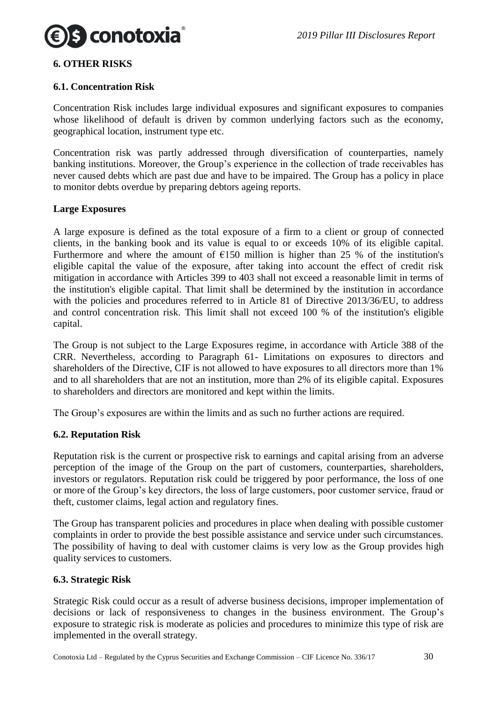

#### <span id="page-29-0"></span>**6. OTHER RISKS**

#### <span id="page-29-1"></span>**6.1. Concentration Risk**

Concentration Risk includes large individual exposures and significant exposures to companies whose likelihood of default is driven by common underlying factors such as the economy, geographical location, instrument type etc.

Concentration risk was partly addressed through diversification of counterparties, namely banking institutions. Moreover, the Group's experience in the collection of trade receivables has never caused debts which are past due and have to be impaired. The Group has a policy in place to monitor debts overdue by preparing debtors ageing reports.

#### **Large Exposures**

A large exposure is defined as the total exposure of a firm to a client or group of connected clients, in the banking book and its value is equal to or exceeds 10% of its eligible capital. Furthermore and where the amount of  $E150$  million is higher than 25 % of the institution's eligible capital the value of the exposure, after taking into account the effect of credit risk mitigation in accordance with Articles 399 to 403 shall not exceed a reasonable limit in terms of the institution's eligible capital. That limit shall be determined by the institution in accordance with the policies and procedures referred to in Article 81 of Directive 2013/36/EU, to address and control concentration risk. This limit shall not exceed 100 % of the institution's eligible capital.

The Group is not subject to the Large Exposures regime, in accordance with Article 388 of the CRR. Nevertheless, according to Paragraph 61- Limitations on exposures to directors and shareholders of the Directive, CIF is not allowed to have exposures to all directors more than 1% and to all shareholders that are not an institution, more than 2% of its eligible capital. Exposures to shareholders and directors are monitored and kept within the limits.

The Group's exposures are within the limits and as such no further actions are required.

#### <span id="page-29-2"></span>**6.2. Reputation Risk**

Reputation risk is the current or prospective risk to earnings and capital arising from an adverse perception of the image of the Group on the part of customers, counterparties, shareholders, investors or regulators. Reputation risk could be triggered by poor performance, the loss of one or more of the Group's key directors, the loss of large customers, poor customer service, fraud or theft, customer claims, legal action and regulatory fines.

The Group has transparent policies and procedures in place when dealing with possible customer complaints in order to provide the best possible assistance and service under such circumstances. The possibility of having to deal with customer claims is very low as the Group provides high quality services to customers.

#### <span id="page-29-3"></span>**6.3. Strategic Risk**

Strategic Risk could occur as a result of adverse business decisions, improper implementation of decisions or lack of responsiveness to changes in the business environment. The Group's exposure to strategic risk is moderate as policies and procedures to minimize this type of risk are implemented in the overall strategy.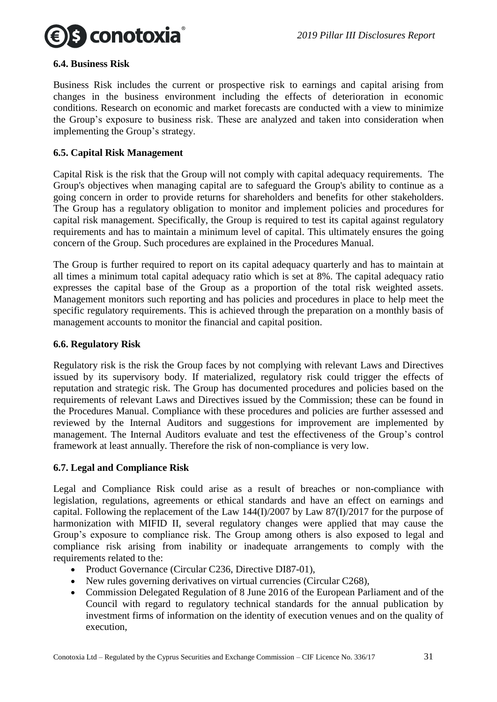

#### <span id="page-30-0"></span>**6.4. Business Risk**

Business Risk includes the current or prospective risk to earnings and capital arising from changes in the business environment including the effects of deterioration in economic conditions. Research on economic and market forecasts are conducted with a view to minimize the Group's exposure to business risk. These are analyzed and taken into consideration when implementing the Group's strategy.

#### <span id="page-30-1"></span>**6.5. Capital Risk Management**

Capital Risk is the risk that the Group will not comply with capital adequacy requirements. The Group's objectives when managing capital are to safeguard the Group's ability to continue as a going concern in order to provide returns for shareholders and benefits for other stakeholders. The Group has a regulatory obligation to monitor and implement policies and procedures for capital risk management. Specifically, the Group is required to test its capital against regulatory requirements and has to maintain a minimum level of capital. This ultimately ensures the going concern of the Group. Such procedures are explained in the Procedures Manual.

The Group is further required to report on its capital adequacy quarterly and has to maintain at all times a minimum total capital adequacy ratio which is set at 8%. The capital adequacy ratio expresses the capital base of the Group as a proportion of the total risk weighted assets. Management monitors such reporting and has policies and procedures in place to help meet the specific regulatory requirements. This is achieved through the preparation on a monthly basis of management accounts to monitor the financial and capital position.

#### <span id="page-30-2"></span>**6.6. Regulatory Risk**

Regulatory risk is the risk the Group faces by not complying with relevant Laws and Directives issued by its supervisory body. If materialized, regulatory risk could trigger the effects of reputation and strategic risk. The Group has documented procedures and policies based on the requirements of relevant Laws and Directives issued by the Commission; these can be found in the Procedures Manual. Compliance with these procedures and policies are further assessed and reviewed by the Internal Auditors and suggestions for improvement are implemented by management. The Internal Auditors evaluate and test the effectiveness of the Group's control framework at least annually. Therefore the risk of non-compliance is very low.

#### <span id="page-30-3"></span>**6.7. Legal and Compliance Risk**

Legal and Compliance Risk could arise as a result of breaches or non-compliance with legislation, regulations, agreements or ethical standards and have an effect on earnings and capital. Following the replacement of the Law 144(I)/2007 by Law 87(I)/2017 for the purpose of harmonization with MIFID II, several regulatory changes were applied that may cause the Group's exposure to compliance risk. The Group among others is also exposed to legal and compliance risk arising from inability or inadequate arrangements to comply with the requirements related to the:

- Product Governance (Circular C236, Directive DI87-01),
- New rules governing derivatives on virtual currencies (Circular C268),
- Commission Delegated Regulation of 8 June 2016 of the European Parliament and of the Council with regard to regulatory technical standards for the annual publication by investment firms of information on the identity of execution venues and on the quality of execution,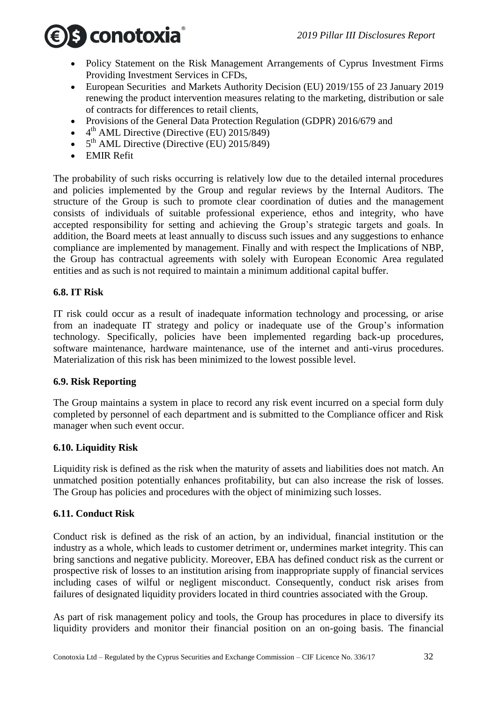

- Policy Statement on the Risk Management Arrangements of Cyprus Investment Firms Providing Investment Services in CFDs,
- European Securities and Markets Authority Decision (EU) 2019/155 of 23 January 2019 renewing the product intervention measures relating to the marketing, distribution or sale of contracts for differences to retail clients,
- Provisions of the General Data Protection Regulation (GDPR) 2016/679 and
- $\bullet$  4<sup>th</sup> AML Directive (Directive (EU) 2015/849)
- $\bullet$  5<sup>th</sup> AML Directive (Directive (EU) 2015/849)
- EMIR Refit

The probability of such risks occurring is relatively low due to the detailed internal procedures and policies implemented by the Group and regular reviews by the Internal Auditors. The structure of the Group is such to promote clear coordination of duties and the management consists of individuals of suitable professional experience, ethos and integrity, who have accepted responsibility for setting and achieving the Group's strategic targets and goals. In addition, the Board meets at least annually to discuss such issues and any suggestions to enhance compliance are implemented by management. Finally and with respect the Implications of NBP, the Group has contractual agreements with solely with European Economic Area regulated entities and as such is not required to maintain a minimum additional capital buffer.

#### <span id="page-31-0"></span>**6.8. IT Risk**

IT risk could occur as a result of inadequate information technology and processing, or arise from an inadequate IT strategy and policy or inadequate use of the Group's information technology. Specifically, policies have been implemented regarding back-up procedures, software maintenance, hardware maintenance, use of the internet and anti-virus procedures. Materialization of this risk has been minimized to the lowest possible level.

#### <span id="page-31-1"></span>**6.9. Risk Reporting**

The Group maintains a system in place to record any risk event incurred on a special form duly completed by personnel of each department and is submitted to the Compliance officer and Risk manager when such event occur.

#### <span id="page-31-2"></span>**6.10. Liquidity Risk**

Liquidity risk is defined as the risk when the maturity of assets and liabilities does not match. An unmatched position potentially enhances profitability, but can also increase the risk of losses. The Group has policies and procedures with the object of minimizing such losses.

#### <span id="page-31-3"></span>**6.11. Conduct Risk**

Conduct risk is defined as the risk of an action, by an individual, financial institution or the industry as a whole, which leads to customer detriment or, undermines market integrity. This can bring sanctions and negative publicity. Moreover, EBA has defined conduct risk as the current or prospective risk of losses to an institution arising from inappropriate supply of financial services including cases of wilful or negligent misconduct. Consequently, conduct risk arises from failures of designated liquidity providers located in third countries associated with the Group.

As part of risk management policy and tools, the Group has procedures in place to diversify its liquidity providers and monitor their financial position on an on-going basis. The financial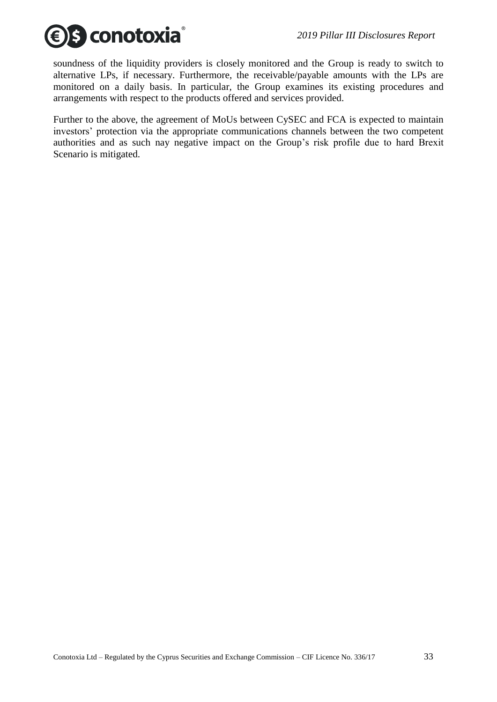

soundness of the liquidity providers is closely monitored and the Group is ready to switch to alternative LPs, if necessary. Furthermore, the receivable/payable amounts with the LPs are monitored on a daily basis. In particular, the Group examines its existing procedures and arrangements with respect to the products offered and services provided.

Further to the above, the agreement of MoUs between CySEC and FCA is expected to maintain investors' protection via the appropriate communications channels between the two competent authorities and as such nay negative impact on the Group's risk profile due to hard Brexit Scenario is mitigated.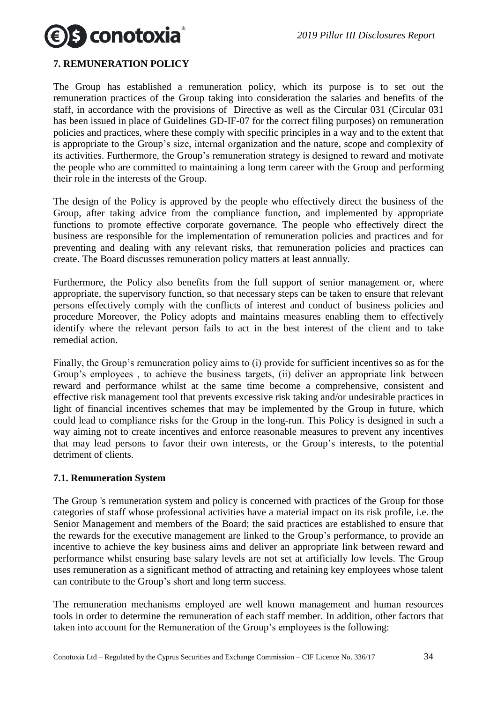

#### <span id="page-33-0"></span>**7. REMUNERATION POLICY**

The Group has established a remuneration policy, which its purpose is to set out the remuneration practices of the Group taking into consideration the salaries and benefits of the staff, in accordance with the provisions of Directive as well as the Circular 031 (Circular 031 has been issued in place of Guidelines GD-IF-07 for the correct filing purposes) on remuneration policies and practices, where these comply with specific principles in a way and to the extent that is appropriate to the Group's size, internal organization and the nature, scope and complexity of its activities. Furthermore, the Group's remuneration strategy is designed to reward and motivate the people who are committed to maintaining a long term career with the Group and performing their role in the interests of the Group.

The design of the Policy is approved by the people who effectively direct the business of the Group, after taking advice from the compliance function, and implemented by appropriate functions to promote effective corporate governance. The people who effectively direct the business are responsible for the implementation of remuneration policies and practices and for preventing and dealing with any relevant risks, that remuneration policies and practices can create. The Board discusses remuneration policy matters at least annually.

Furthermore, the Policy also benefits from the full support of senior management or, where appropriate, the supervisory function, so that necessary steps can be taken to ensure that relevant persons effectively comply with the conflicts of interest and conduct of business policies and procedure Moreover, the Policy adopts and maintains measures enabling them to effectively identify where the relevant person fails to act in the best interest of the client and to take remedial action.

Finally, the Group's remuneration policy aims to (i) provide for sufficient incentives so as for the Group's employees , to achieve the business targets, (ii) deliver an appropriate link between reward and performance whilst at the same time become a comprehensive, consistent and effective risk management tool that prevents excessive risk taking and/or undesirable practices in light of financial incentives schemes that may be implemented by the Group in future, which could lead to compliance risks for the Group in the long-run. This Policy is designed in such a way aiming not to create incentives and enforce reasonable measures to prevent any incentives that may lead persons to favor their own interests, or the Group's interests, to the potential detriment of clients.

#### <span id="page-33-1"></span>**7.1. Remuneration System**

The Group 's remuneration system and policy is concerned with practices of the Group for those categories of staff whose professional activities have a material impact on its risk profile, i.e. the Senior Management and members of the Board; the said practices are established to ensure that the rewards for the executive management are linked to the Group's performance, to provide an incentive to achieve the key business aims and deliver an appropriate link between reward and performance whilst ensuring base salary levels are not set at artificially low levels. The Group uses remuneration as a significant method of attracting and retaining key employees whose talent can contribute to the Group's short and long term success.

The remuneration mechanisms employed are well known management and human resources tools in order to determine the remuneration of each staff member. In addition, other factors that taken into account for the Remuneration of the Group's employees is the following: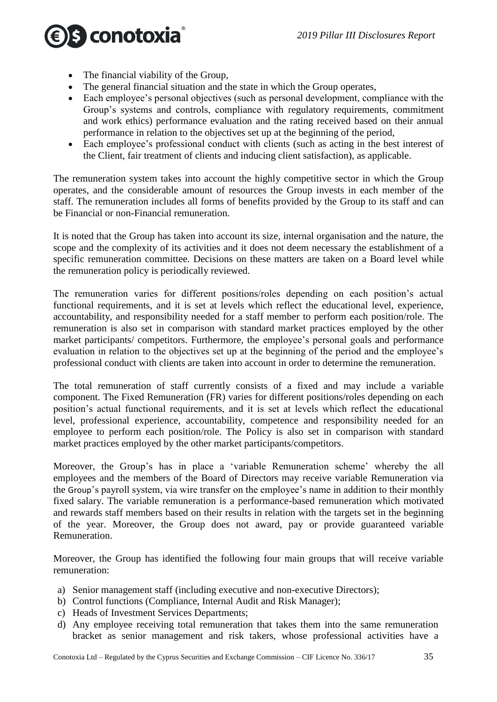

- The financial viability of the Group,
- The general financial situation and the state in which the Group operates,
- Each employee's personal objectives (such as personal development, compliance with the Group's systems and controls, compliance with regulatory requirements, commitment and work ethics) performance evaluation and the rating received based on their annual performance in relation to the objectives set up at the beginning of the period,
- Each employee's professional conduct with clients (such as acting in the best interest of the Client, fair treatment of clients and inducing client satisfaction), as applicable.

The remuneration system takes into account the highly competitive sector in which the Group operates, and the considerable amount of resources the Group invests in each member of the staff. The remuneration includes all forms of benefits provided by the Group to its staff and can be Financial or non-Financial remuneration.

It is noted that the Group has taken into account its size, internal organisation and the nature, the scope and the complexity of its activities and it does not deem necessary the establishment of a specific remuneration committee. Decisions on these matters are taken on a Board level while the remuneration policy is periodically reviewed.

The remuneration varies for different positions/roles depending on each position's actual functional requirements, and it is set at levels which reflect the educational level, experience, accountability, and responsibility needed for a staff member to perform each position/role. The remuneration is also set in comparison with standard market practices employed by the other market participants/ competitors. Furthermore, the employee's personal goals and performance evaluation in relation to the objectives set up at the beginning of the period and the employee's professional conduct with clients are taken into account in order to determine the remuneration.

The total remuneration of staff currently consists of a fixed and may include a variable component. The Fixed Remuneration (FR) varies for different positions/roles depending on each position's actual functional requirements, and it is set at levels which reflect the educational level, professional experience, accountability, competence and responsibility needed for an employee to perform each position/role. The Policy is also set in comparison with standard market practices employed by the other market participants/competitors.

Moreover, the Group's has in place a 'variable Remuneration scheme' whereby the all employees and the members of the Board of Directors may receive variable Remuneration via the Group's payroll system, via wire transfer on the employee's name in addition to their monthly fixed salary. The variable remuneration is a performance-based remuneration which motivated and rewards staff members based on their results in relation with the targets set in the beginning of the year. Moreover, the Group does not award, pay or provide guaranteed variable Remuneration.

Moreover, the Group has identified the following four main groups that will receive variable remuneration:

- a) Senior management staff (including executive and non-executive Directors);
- b) Control functions (Compliance, Internal Audit and Risk Manager);
- c) Heads of Investment Services Departments;
- d) Any employee receiving total remuneration that takes them into the same remuneration bracket as senior management and risk takers, whose professional activities have a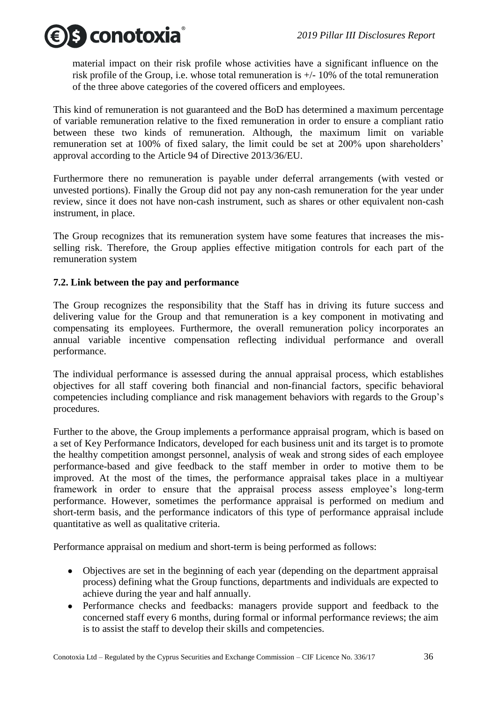

material impact on their risk profile whose activities have a significant influence on the risk profile of the Group, i.e. whose total remuneration is +/- 10% of the total remuneration of the three above categories of the covered officers and employees.

This kind of remuneration is not guaranteed and the BoD has determined a maximum percentage of variable remuneration relative to the fixed remuneration in order to ensure a compliant ratio between these two kinds of remuneration. Although, the maximum limit on variable remuneration set at 100% of fixed salary, the limit could be set at 200% upon shareholders' approval according to the Article 94 of Directive 2013/36/EU.

Furthermore there no remuneration is payable under deferral arrangements (with vested or unvested portions). Finally the Group did not pay any non-cash remuneration for the year under review, since it does not have non-cash instrument, such as shares or other equivalent non-cash instrument, in place.

The Group recognizes that its remuneration system have some features that increases the misselling risk. Therefore, the Group applies effective mitigation controls for each part of the remuneration system

#### <span id="page-35-0"></span>**7.2. Link between the pay and performance**

The Group recognizes the responsibility that the Staff has in driving its future success and delivering value for the Group and that remuneration is a key component in motivating and compensating its employees. Furthermore, the overall remuneration policy incorporates an annual variable incentive compensation reflecting individual performance and overall performance.

The individual performance is assessed during the annual appraisal process, which establishes objectives for all staff covering both financial and non-financial factors, specific behavioral competencies including compliance and risk management behaviors with regards to the Group's procedures.

Further to the above, the Group implements a performance appraisal program, which is based on a set of Key Performance Indicators, developed for each business unit and its target is to promote the healthy competition amongst personnel, analysis of weak and strong sides of each employee performance-based and give feedback to the staff member in order to motive them to be improved. At the most of the times, the performance appraisal takes place in a multiyear framework in order to ensure that the appraisal process assess employee's long-term performance. However, sometimes the performance appraisal is performed on medium and short-term basis, and the performance indicators of this type of performance appraisal include quantitative as well as qualitative criteria.

Performance appraisal on medium and short-term is being performed as follows:

- Objectives are set in the beginning of each year (depending on the department appraisal process) defining what the Group functions, departments and individuals are expected to achieve during the year and half annually.
- Performance checks and feedbacks: managers provide support and feedback to the concerned staff every 6 months, during formal or informal performance reviews; the aim is to assist the staff to develop their skills and competencies.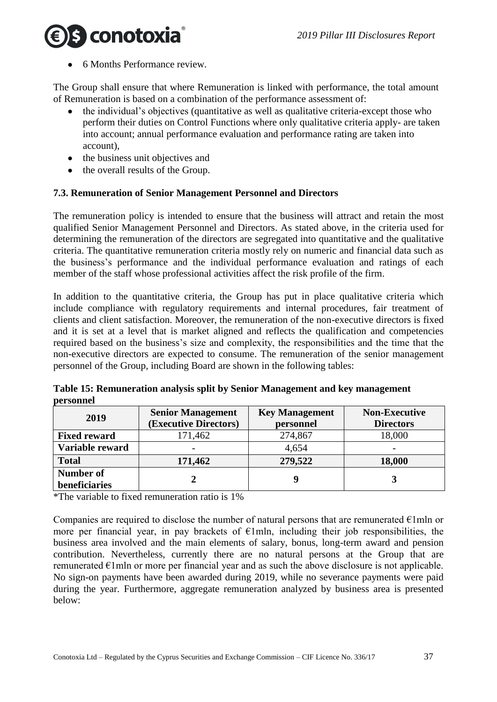# s conotoxia

6 Months Performance review.

The Group shall ensure that where Remuneration is linked with performance, the total amount of Remuneration is based on a combination of the performance assessment of:

- the individual's objectives (quantitative as well as qualitative criteria-except those who perform their duties on Control Functions where only qualitative criteria apply- are taken into account; annual performance evaluation and performance rating are taken into account),
- the business unit objectives and
- the overall results of the Group.

### <span id="page-36-0"></span>**7.3. Remuneration of Senior Management Personnel and Directors**

The remuneration policy is intended to ensure that the business will attract and retain the most qualified Senior Management Personnel and Directors. As stated above, in the criteria used for determining the remuneration of the directors are segregated into quantitative and the qualitative criteria. The quantitative remuneration criteria mostly rely on numeric and financial data such as the business's performance and the individual performance evaluation and ratings of each member of the staff whose professional activities affect the risk profile of the firm.

In addition to the quantitative criteria, the Group has put in place qualitative criteria which include compliance with regulatory requirements and internal procedures, fair treatment of clients and client satisfaction. Moreover, the remuneration of the non-executive directors is fixed and it is set at a level that is market aligned and reflects the qualification and competencies required based on the business's size and complexity, the responsibilities and the time that the non-executive directors are expected to consume. The remuneration of the senior management personnel of the Group, including Board are shown in the following tables:

| 2019                       | <b>Senior Management</b><br>(Executive Directors) | <b>Key Management</b><br>personnel | <b>Non-Executive</b><br><b>Directors</b> |
|----------------------------|---------------------------------------------------|------------------------------------|------------------------------------------|
| <b>Fixed reward</b>        | 171,462                                           | 274,867                            | 18,000                                   |
| Variable reward            |                                                   | 4,654                              |                                          |
| <b>Total</b>               | 171,462                                           | 279,522                            | 18,000                                   |
| Number of<br>beneficiaries |                                                   |                                    |                                          |

**Table 15: Remuneration analysis split by Senior Management and key management personnel**

\*The variable to fixed remuneration ratio is 1%

Companies are required to disclose the number of natural persons that are remunerated  $\epsilon$ 1mln or more per financial year, in pay brackets of  $E1mln$ , including their job responsibilities, the business area involved and the main elements of salary, bonus, long-term award and pension contribution. Nevertheless, currently there are no natural persons at the Group that are remunerated  $\epsilon$ 1mln or more per financial year and as such the above disclosure is not applicable. No sign-on payments have been awarded during 2019, while no severance payments were paid during the year. Furthermore, aggregate remuneration analyzed by business area is presented below: